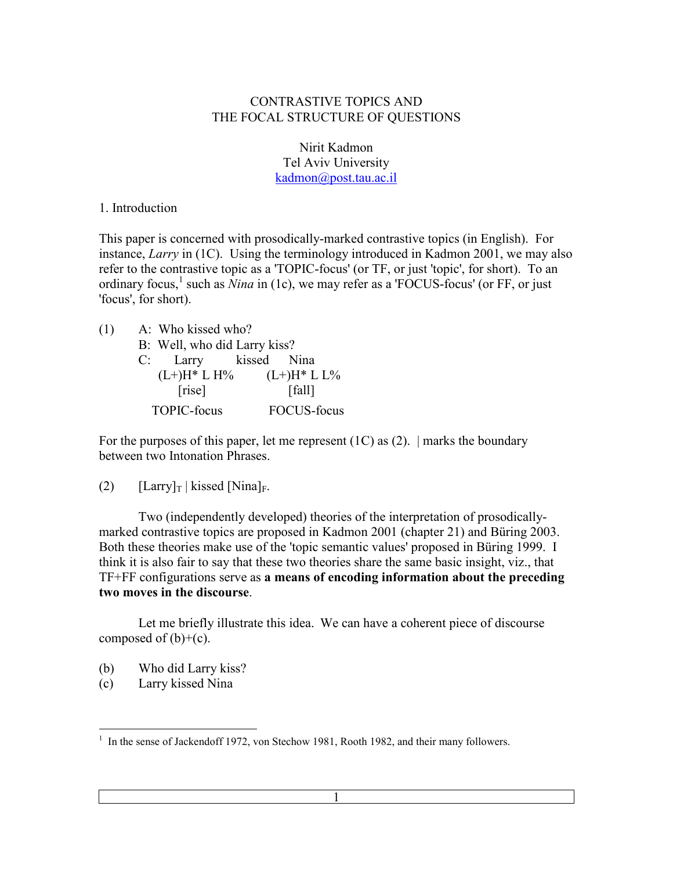### CONTRASTIVE TOPICS AND THE FOCAL STRUCTURE OF QUESTIONS

Nirit Kadmon Tel Aviv University [kadmon@post.tau.ac.il](mailto:kadmon@post.tau.ac.il)

#### 1. Introduction

This paper is concerned with prosodically-marked contrastive topics (in English). For instance, *Larry* in (1C). Using the terminology introduced in Kadmon 2001, we may also refer to the contrastive topic as a 'TOPIC-focus' (or TF, or just 'topic', for short). To an ordinary focus,<sup>1</sup> such as *Nina* in (1c), we may refer as a 'FOCUS-focus' (or FF, or just 'focus', for short).

| (1) | A: Who kissed who?           |                                 |
|-----|------------------------------|---------------------------------|
|     | B: Well, who did Larry kiss? |                                 |
|     | C: Larry kissed Nina         |                                 |
|     |                              | $(L+)H^* L H\%$ $(L+)H^* L L\%$ |
|     | [rise]                       | [fall]                          |
|     | <b>TOPIC-focus</b>           | <b>FOCUS-focus</b>              |

For the purposes of this paper, let me represent  $(1C)$  as  $(2)$ . | marks the boundary between two Intonation Phrases.

#### (2)  $[Larry]_T | kissed [Nina]_F.$

 Two (independently developed) theories of the interpretation of prosodicallymarked contrastive topics are proposed in Kadmon 2001 (chapter 21) and Büring 2003. Both these theories make use of the 'topic semantic values' proposed in Büring 1999. I think it is also fair to say that these two theories share the same basic insight, viz., that TF+FF configurations serve as **a means of encoding information about the preceding two moves in the discourse**.

 Let me briefly illustrate this idea. We can have a coherent piece of discourse composed of  $(b)+(c)$ .

- (b) Who did Larry kiss?
- (c) Larry kissed Nina

 $\overline{a}$ <sup>1</sup> In the sense of Jackendoff 1972, von Stechow 1981, Rooth 1982, and their many followers.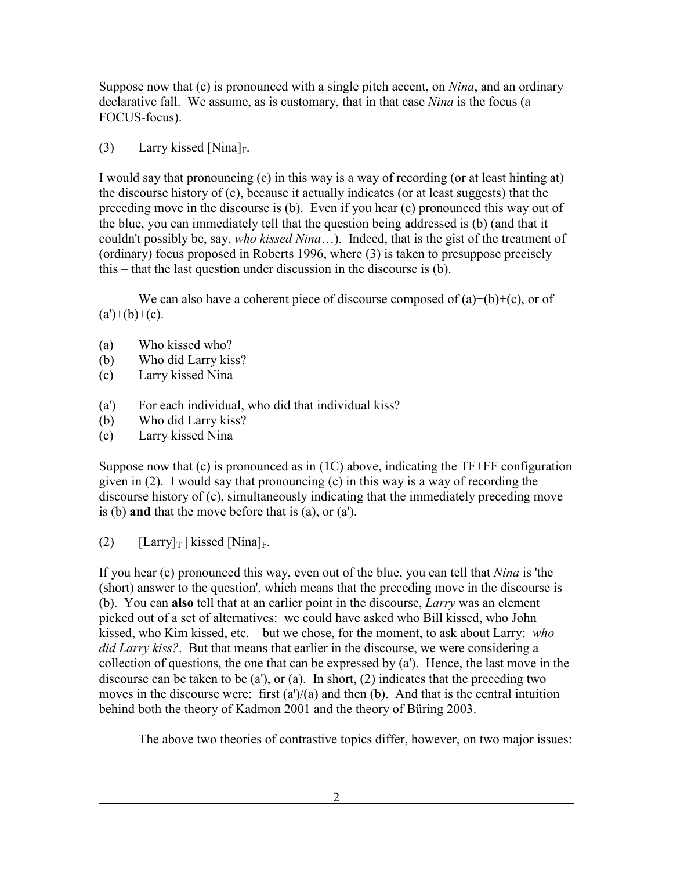Suppose now that (c) is pronounced with a single pitch accent, on *Nina*, and an ordinary declarative fall. We assume, as is customary, that in that case *Nina* is the focus (a FOCUS-focus).

(3) Larry kissed [Nina]<sub>F</sub>.

I would say that pronouncing (c) in this way is a way of recording (or at least hinting at) the discourse history of (c), because it actually indicates (or at least suggests) that the preceding move in the discourse is (b). Even if you hear (c) pronounced this way out of the blue, you can immediately tell that the question being addressed is (b) (and that it couldn't possibly be, say, *who kissed Nina*…). Indeed, that is the gist of the treatment of (ordinary) focus proposed in Roberts 1996, where (3) is taken to presuppose precisely this – that the last question under discussion in the discourse is (b).

We can also have a coherent piece of discourse composed of  $(a)+(b)+(c)$ , or of  $(a')+(b)+(c)$ .

- (a) Who kissed who?
- (b) Who did Larry kiss?
- (c) Larry kissed Nina
- (a') For each individual, who did that individual kiss?
- (b) Who did Larry kiss?
- (c) Larry kissed Nina

Suppose now that (c) is pronounced as in (1C) above, indicating the TF+FF configuration given in (2). I would say that pronouncing (c) in this way is a way of recording the discourse history of (c), simultaneously indicating that the immediately preceding move is (b) **and** that the move before that is (a), or (a').

(2)  $[Larry]_T | kissed [Nina]_F.$ 

If you hear (c) pronounced this way, even out of the blue, you can tell that *Nina* is 'the (short) answer to the question', which means that the preceding move in the discourse is (b). You can **also** tell that at an earlier point in the discourse, *Larry* was an element picked out of a set of alternatives: we could have asked who Bill kissed, who John kissed, who Kim kissed, etc. – but we chose, for the moment, to ask about Larry: *who did Larry kiss?*. But that means that earlier in the discourse, we were considering a collection of questions, the one that can be expressed by (a'). Hence, the last move in the discourse can be taken to be (a'), or (a). In short, (2) indicates that the preceding two moves in the discourse were: first  $(a')/(a)$  and then (b). And that is the central intuition behind both the theory of Kadmon 2001 and the theory of Büring 2003.

The above two theories of contrastive topics differ, however, on two major issues: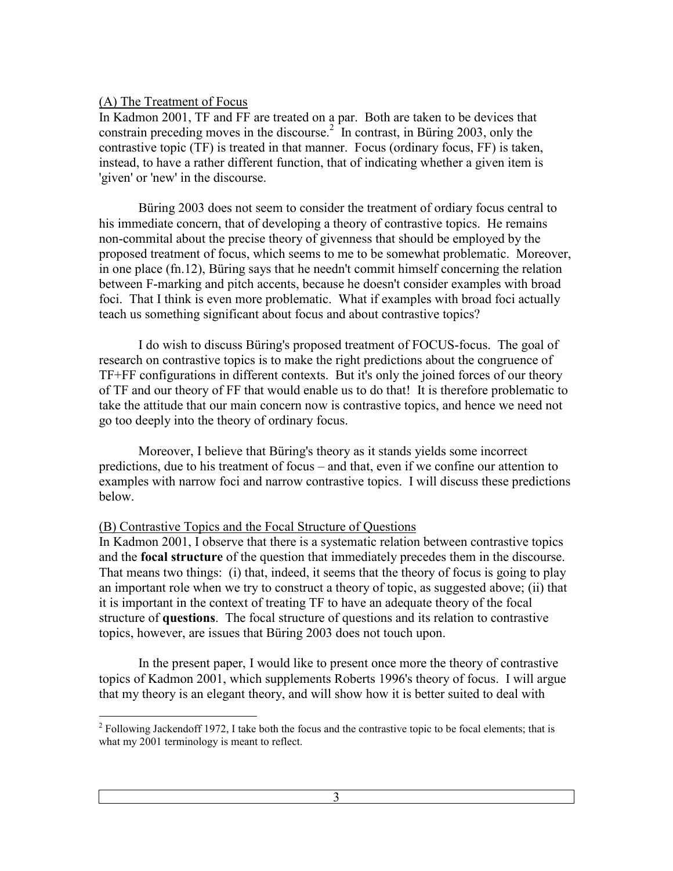#### (A) The Treatment of Focus

In Kadmon 2001, TF and FF are treated on a par. Both are taken to be devices that constrain preceding moves in the discourse.<sup>2</sup> In contrast, in Büring 2003, only the contrastive topic (TF) is treated in that manner. Focus (ordinary focus, FF) is taken, instead, to have a rather different function, that of indicating whether a given item is 'given' or 'new' in the discourse.

 Büring 2003 does not seem to consider the treatment of ordiary focus central to his immediate concern, that of developing a theory of contrastive topics. He remains non-commital about the precise theory of givenness that should be employed by the proposed treatment of focus, which seems to me to be somewhat problematic. Moreover, in one place (fn.12), Büring says that he needn't commit himself concerning the relation between F-marking and pitch accents, because he doesn't consider examples with broad foci. That I think is even more problematic. What if examples with broad foci actually teach us something significant about focus and about contrastive topics?

 I do wish to discuss Büring's proposed treatment of FOCUS-focus. The goal of research on contrastive topics is to make the right predictions about the congruence of TF+FF configurations in different contexts. But it's only the joined forces of our theory of TF and our theory of FF that would enable us to do that! It is therefore problematic to take the attitude that our main concern now is contrastive topics, and hence we need not go too deeply into the theory of ordinary focus.

 Moreover, I believe that Büring's theory as it stands yields some incorrect predictions, due to his treatment of focus – and that, even if we confine our attention to examples with narrow foci and narrow contrastive topics. I will discuss these predictions below.

### (B) Contrastive Topics and the Focal Structure of Questions

In Kadmon 2001, I observe that there is a systematic relation between contrastive topics and the **focal structure** of the question that immediately precedes them in the discourse. That means two things: (i) that, indeed, it seems that the theory of focus is going to play an important role when we try to construct a theory of topic, as suggested above; (ii) that it is important in the context of treating TF to have an adequate theory of the focal structure of **questions**. The focal structure of questions and its relation to contrastive topics, however, are issues that Büring 2003 does not touch upon.

 In the present paper, I would like to present once more the theory of contrastive topics of Kadmon 2001, which supplements Roberts 1996's theory of focus. I will argue that my theory is an elegant theory, and will show how it is better suited to deal with

<sup>&</sup>lt;sup>2</sup> Following Jackendoff 1972, I take both the focus and the contrastive topic to be focal elements; that is what my 2001 terminology is meant to reflect.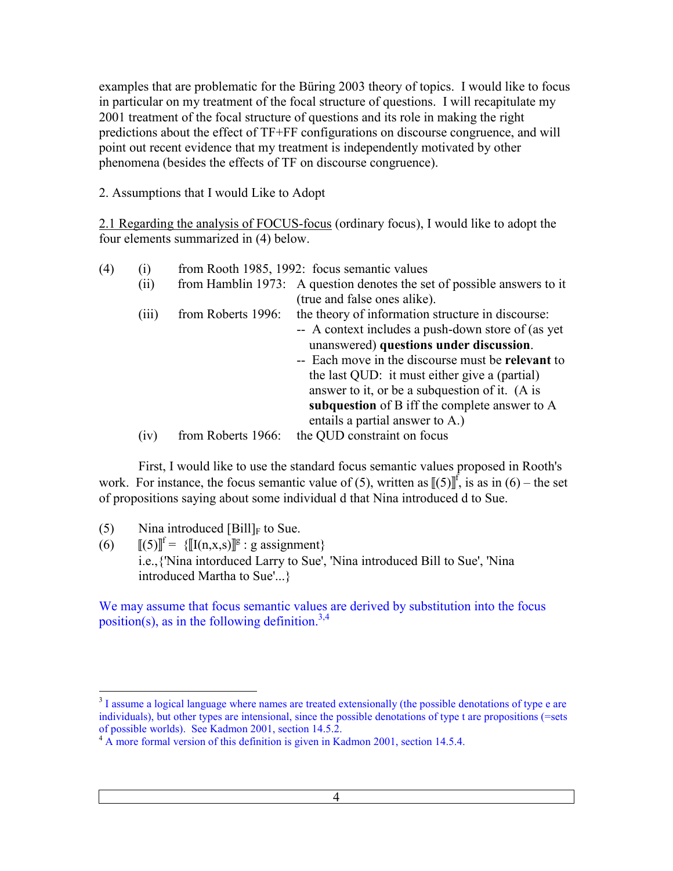examples that are problematic for the Büring 2003 theory of topics. I would like to focus in particular on my treatment of the focal structure of questions. I will recapitulate my 2001 treatment of the focal structure of questions and its role in making the right predictions about the effect of TF+FF configurations on discourse congruence, and will point out recent evidence that my treatment is independently motivated by other phenomena (besides the effects of TF on discourse congruence).

2. Assumptions that I would Like to Adopt

2.1 Regarding the analysis of FOCUS-focus (ordinary focus), I would like to adopt the four elements summarized in (4) below.

| (4) | $\left( 1\right)$ |                    | from Rooth 1985, 1992: focus semantic values                            |
|-----|-------------------|--------------------|-------------------------------------------------------------------------|
|     | (ii)              |                    | from Hamblin 1973: A question denotes the set of possible answers to it |
|     |                   |                    | (true and false ones alike).                                            |
|     | (iii)             | from Roberts 1996: | the theory of information structure in discourse:                       |
|     |                   |                    | -- A context includes a push-down store of (as yet                      |
|     |                   |                    | unanswered) questions under discussion.                                 |
|     |                   |                    | -- Each move in the discourse must be relevant to                       |
|     |                   |                    | the last QUD: it must either give a (partial)                           |
|     |                   |                    | answer to it, or be a subquestion of it. (A is                          |
|     |                   |                    | subquestion of B iff the complete answer to A                           |
|     |                   |                    | entails a partial answer to A.)                                         |
|     | (1V)              | from Roberts 1966: | the QUD constraint on focus                                             |

 First, I would like to use the standard focus semantic values proposed in Rooth's work. For instance, the focus semantic value of (5), written as  $[[(5)]^f$ , is as in (6) – the set of propositions saying about some individual d that Nina introduced d to Sue.

- (5) Nina introduced  $[Bill]_F$  to Sue.
- (6)  $[[(5)]^f = {\{\llbracket I(n,x,s) \rrbracket^g : g \text{ assignment}\}}$ i.e.,{'Nina intorduced Larry to Sue', 'Nina introduced Bill to Sue', 'Nina introduced Martha to Sue'...}

We may assume that focus semantic values are derived by substitution into the focus position(s), as in the following definition.<sup>3,4</sup>

<sup>&</sup>lt;sup>3</sup> I assume a logical language where names are treated extensionally (the possible denotations of type e are individuals), but other types are intensional, since the possible denotations of type t are propositions (=sets of possible worlds). See Kadmon 2001, section 14.5.2.

 $4 \text{ A}$  more formal version of this definition is given in Kadmon 2001, section 14.5.4.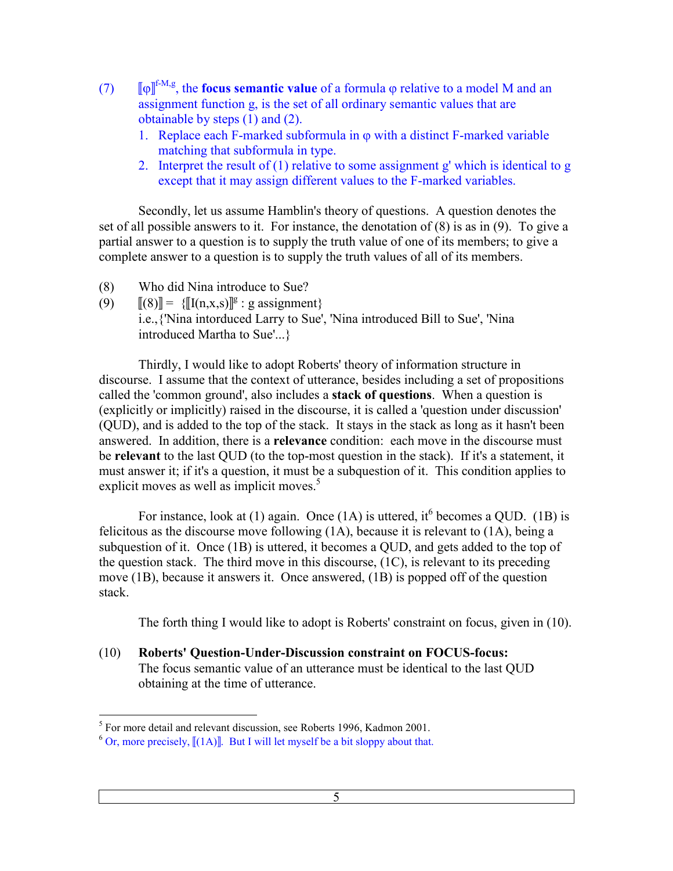- $(7)$ f-M,g, the **focus semantic value** of a formula ϕ relative to a model M and an assignment function g, is the set of all ordinary semantic values that are obtainable by steps (1) and (2).
	- 1. Replace each F-marked subformula in  $\varphi$  with a distinct F-marked variable matching that subformula in type.
	- 2. Interpret the result of (1) relative to some assignment g' which is identical to g except that it may assign different values to the F-marked variables.

 Secondly, let us assume Hamblin's theory of questions. A question denotes the set of all possible answers to it. For instance, the denotation of (8) is as in (9). To give a partial answer to a question is to supply the truth value of one of its members; to give a complete answer to a question is to supply the truth values of all of its members.

- (8) Who did Nina introduce to Sue?
- (9)  $[[(8)]] = {\{[[1(n,x,s)]]^{g} : g \text{ assignment}\}}$ i.e.,{'Nina intorduced Larry to Sue', 'Nina introduced Bill to Sue', 'Nina introduced Martha to Sue'...}

 Thirdly, I would like to adopt Roberts' theory of information structure in discourse. I assume that the context of utterance, besides including a set of propositions called the 'common ground', also includes a **stack of questions**. When a question is (explicitly or implicitly) raised in the discourse, it is called a 'question under discussion' (QUD), and is added to the top of the stack. It stays in the stack as long as it hasn't been answered. In addition, there is a **relevance** condition: each move in the discourse must be **relevant** to the last QUD (to the top-most question in the stack). If it's a statement, it must answer it; if it's a question, it must be a subquestion of it. This condition applies to explicit moves as well as implicit moves.<sup>5</sup>

For instance, look at (1) again. Once (1A) is uttered, it <sup>6</sup> becomes a QUD. (1B) is felicitous as the discourse move following (1A), because it is relevant to (1A), being a subquestion of it. Once (1B) is uttered, it becomes a QUD, and gets added to the top of the question stack. The third move in this discourse, (1C), is relevant to its preceding move (1B), because it answers it. Once answered, (1B) is popped off of the question stack.

The forth thing I would like to adopt is Roberts' constraint on focus, given in (10).

(10) **Roberts' Question-Under-Discussion constraint on FOCUS-focus:** The focus semantic value of an utterance must be identical to the last QUD obtaining at the time of utterance.

 5 For more detail and relevant discussion, see Roberts 1996, Kadmon 2001.

<sup>&</sup>lt;sup>6</sup> Or, more precisely,  $[(1A)]$ . But I will let myself be a bit sloppy about that.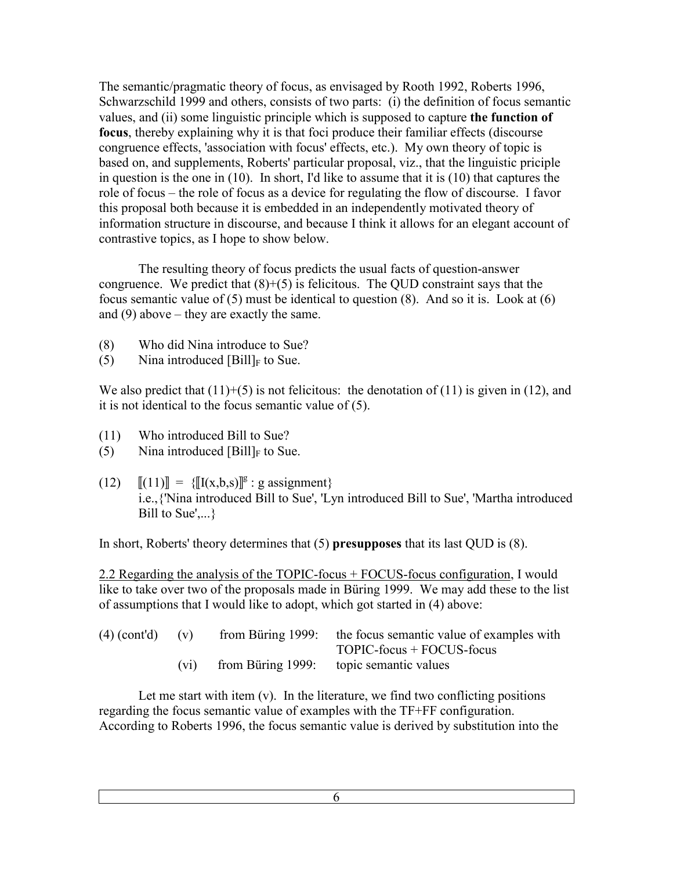The semantic/pragmatic theory of focus, as envisaged by Rooth 1992, Roberts 1996, Schwarzschild 1999 and others, consists of two parts: (i) the definition of focus semantic values, and (ii) some linguistic principle which is supposed to capture **the function of focus**, thereby explaining why it is that foci produce their familiar effects (discourse congruence effects, 'association with focus' effects, etc.). My own theory of topic is based on, and supplements, Roberts' particular proposal, viz., that the linguistic priciple in question is the one in (10). In short, I'd like to assume that it is (10) that captures the role of focus – the role of focus as a device for regulating the flow of discourse. I favor this proposal both because it is embedded in an independently motivated theory of information structure in discourse, and because I think it allows for an elegant account of contrastive topics, as I hope to show below.

 The resulting theory of focus predicts the usual facts of question-answer congruence. We predict that  $(8)+(5)$  is felicitous. The QUD constraint says that the focus semantic value of (5) must be identical to question (8). And so it is. Look at (6) and  $(9)$  above – they are exactly the same.

- (8) Who did Nina introduce to Sue?
- (5) Nina introduced  $[Bill]_F$  to Sue.

We also predict that  $(11)+(5)$  is not felicitous: the denotation of  $(11)$  is given in  $(12)$ , and it is not identical to the focus semantic value of (5).

- (11) Who introduced Bill to Sue?
- (5) Nina introduced  $[Bill]_F$  to Sue.
- (12)  $[[(11)]] = {\{[[x,b,s)]\]}^g : g \text{ assignment}\}$ i.e.,{'Nina introduced Bill to Sue', 'Lyn introduced Bill to Sue', 'Martha introduced Bill to  $Sue', \ldots$ }

In short, Roberts' theory determines that (5) **presupposes** that its last QUD is (8).

2.2 Regarding the analysis of the TOPIC-focus + FOCUS-focus configuration, I would like to take over two of the proposals made in Büring 1999. We may add these to the list of assumptions that I would like to adopt, which got started in (4) above:

| $(4)$ (cont'd) $(v)$ |      | from Büring 1999: the focus semantic value of examples with |
|----------------------|------|-------------------------------------------------------------|
|                      |      | $TOPIC$ -focus + $FOCUS$ -focus                             |
|                      | (V1) | from Büring 1999: topic semantic values                     |

Let me start with item  $(v)$ . In the literature, we find two conflicting positions regarding the focus semantic value of examples with the TF+FF configuration. According to Roberts 1996, the focus semantic value is derived by substitution into the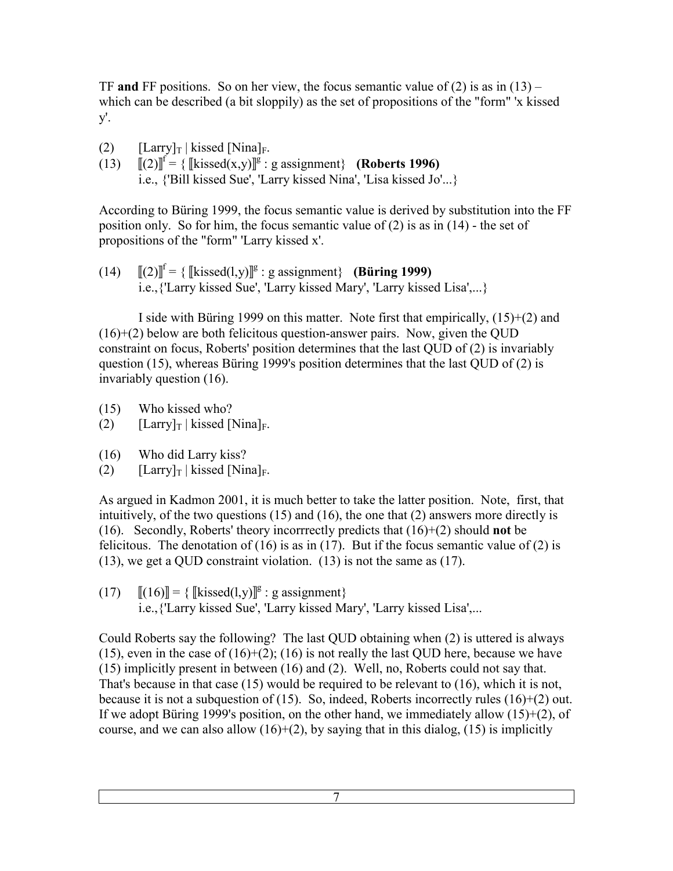TF **and** FF positions. So on her view, the focus semantic value of (2) is as in  $(13)$  – which can be described (a bit sloppily) as the set of propositions of the "form" 'x kissed y'.

- (2)  $[Larry]_T | kissed [Nina]_F.$
- (13)  $[[(2)]^f = {\text{[kissed}(x,y)]^g : g assignment}$  (**Roberts 1996)** i.e., {'Bill kissed Sue', 'Larry kissed Nina', 'Lisa kissed Jo'...}

According to Büring 1999, the focus semantic value is derived by substitution into the FF position only. So for him, the focus semantic value of (2) is as in (14) - the set of propositions of the "form" 'Larry kissed x'.

 $(14)$   $[[(2)]^f = {[[kissed(1,y)]^g : g assignment}$  (Büring 1999) i.e.,{'Larry kissed Sue', 'Larry kissed Mary', 'Larry kissed Lisa',...}

I side with Büring 1999 on this matter. Note first that empirically,  $(15)+(2)$  and  $(16)+(2)$  below are both felicitous question-answer pairs. Now, given the QUD constraint on focus, Roberts' position determines that the last QUD of (2) is invariably question (15), whereas Büring 1999's position determines that the last QUD of (2) is invariably question (16).

- (15) Who kissed who?
- (2)  $[Larrow]_T | kissed [Nina]_F.$
- (16) Who did Larry kiss?
- (2)  $[ Larry]_T | kissed [Nina]_F.$

As argued in Kadmon 2001, it is much better to take the latter position. Note, first, that intuitively, of the two questions (15) and (16), the one that (2) answers more directly is (16). Secondly, Roberts' theory incorrrectly predicts that (16)+(2) should **not** be felicitous. The denotation of (16) is as in (17). But if the focus semantic value of (2) is (13), we get a QUD constraint violation. (13) is not the same as (17).

(17)  $[[(16)]] = {\text{kissed}(l,y)]}^g$ : g assignment}

i.e.,{'Larry kissed Sue', 'Larry kissed Mary', 'Larry kissed Lisa',...

Could Roberts say the following? The last QUD obtaining when (2) is uttered is always (15), even in the case of  $(16)+(2)$ ; (16) is not really the last QUD here, because we have (15) implicitly present in between (16) and (2). Well, no, Roberts could not say that. That's because in that case (15) would be required to be relevant to (16), which it is not, because it is not a subquestion of  $(15)$ . So, indeed, Roberts incorrectly rules  $(16)+(2)$  out. If we adopt Büring 1999's position, on the other hand, we immediately allow (15)+(2), of course, and we can also allow  $(16)+(2)$ , by saying that in this dialog,  $(15)$  is implicitly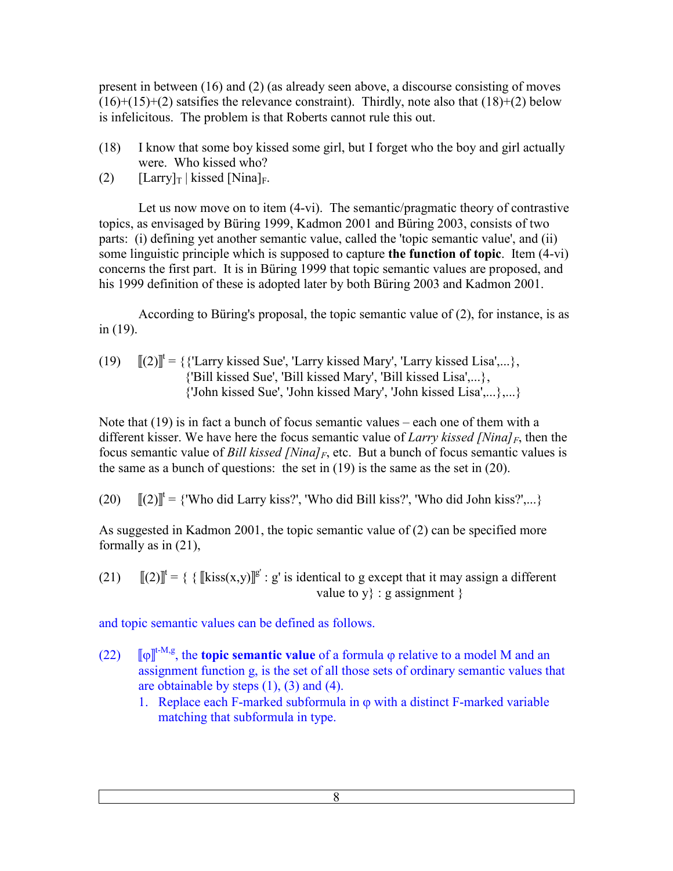present in between (16) and (2) (as already seen above, a discourse consisting of moves  $(16)+(15)+(2)$  satsifies the relevance constraint). Thirdly, note also that  $(18)+(2)$  below is infelicitous. The problem is that Roberts cannot rule this out.

- (18) I know that some boy kissed some girl, but I forget who the boy and girl actually were. Who kissed who?
- (2)  $[Larrow]_T | kissed [Nina]_F.$

 Let us now move on to item (4-vi). The semantic/pragmatic theory of contrastive topics, as envisaged by Büring 1999, Kadmon 2001 and Büring 2003, consists of two parts: (i) defining yet another semantic value, called the 'topic semantic value', and (ii) some linguistic principle which is supposed to capture **the function of topic**. Item (4-vi) concerns the first part. It is in Büring 1999 that topic semantic values are proposed, and his 1999 definition of these is adopted later by both Büring 2003 and Kadmon 2001.

 According to Büring's proposal, the topic semantic value of (2), for instance, is as in (19).

(19) 
$$
[[(2)]^t = \{\{\text{Larry kised Sue}, \text{Larry kised Mary}, \text{Larry kised Lisa}, \text{ "Bill kised Sue}, \text{ "Bill kised Mary}, \text{ "Bill kised Lisa}, \text{ "John kised Sue}, \text{ John kised Mary}, \text{ John kised Lisa}, \text{...}\} \}
$$

Note that (19) is in fact a bunch of focus semantic values – each one of them with a different kisser. We have here the focus semantic value of *Larry kissed [Nina]F*, then the focus semantic value of *Bill kissed [Nina]F*, etc. But a bunch of focus semantic values is the same as a bunch of questions: the set in  $(19)$  is the same as the set in  $(20)$ .

(20)  $[[(2)]^t = {$  'Who did Larry kiss?', 'Who did Bill kiss?', 'Who did John kiss?',...}

As suggested in Kadmon 2001, the topic semantic value of (2) can be specified more formally as in (21),

(21)  $[[(2)]^t = {\{ [\text{kiss}(x,y)]^g : g' \text{ is identical to g except that it may assign a different}}$ value to  $y$  : g assignment }

and topic semantic values can be defined as follows.

- $(22)$ t-M,g, the **topic semantic value** of a formula ϕ relative to a model M and an assignment function g, is the set of all those sets of ordinary semantic values that are obtainable by steps  $(1)$ ,  $(3)$  and  $(4)$ .
	- 1. Replace each F-marked subformula in  $\varphi$  with a distinct F-marked variable matching that subformula in type.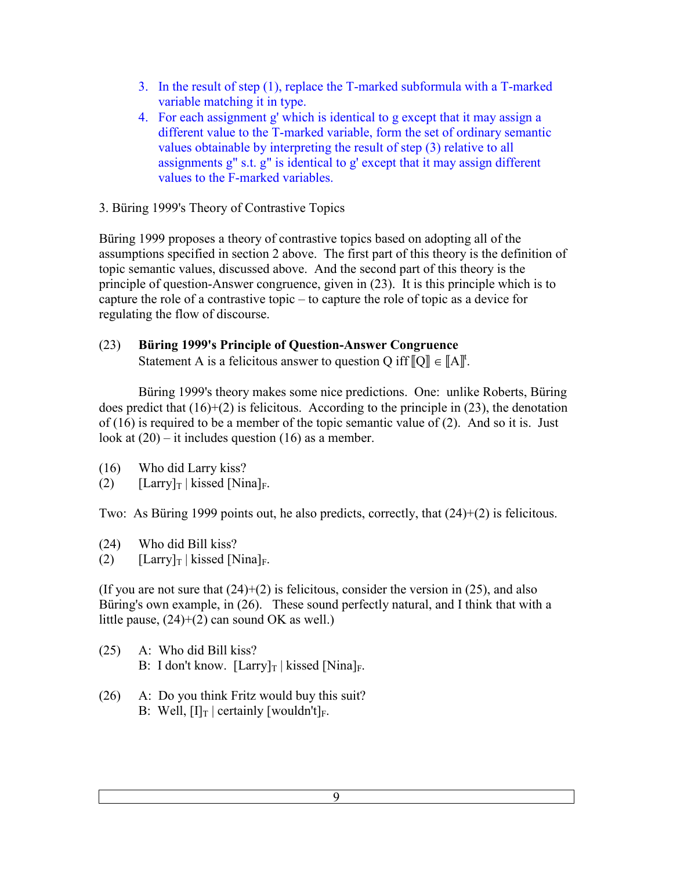- 3. In the result of step (1), replace the T-marked subformula with a T-marked variable matching it in type.
- 4. For each assignment g' which is identical to g except that it may assign a different value to the T-marked variable, form the set of ordinary semantic values obtainable by interpreting the result of step (3) relative to all assignments g" s.t. g" is identical to g' except that it may assign different values to the F-marked variables.
- 3. Büring 1999's Theory of Contrastive Topics

Büring 1999 proposes a theory of contrastive topics based on adopting all of the assumptions specified in section 2 above. The first part of this theory is the definition of topic semantic values, discussed above. And the second part of this theory is the principle of question-Answer congruence, given in (23). It is this principle which is to capture the role of a contrastive topic – to capture the role of topic as a device for regulating the flow of discourse.

# (23) **Büring 1999's Principle of Question-Answer Congruence**

Statement A is a felicitous answer to question Q iff  $\llbracket Q \rrbracket \in \llbracket A \rrbracket^t$ .

 Büring 1999's theory makes some nice predictions. One: unlike Roberts, Büring does predict that  $(16)+(2)$  is felicitous. According to the principle in  $(23)$ , the denotation of (16) is required to be a member of the topic semantic value of (2). And so it is. Just look at  $(20)$  – it includes question  $(16)$  as a member.

- (16) Who did Larry kiss?
- (2)  $[Larry]_T | kissed [Nina]_F.$

Two: As Büring 1999 points out, he also predicts, correctly, that (24)+(2) is felicitous.

- (24) Who did Bill kiss?
- (2)  $[Larry]_T | kissed [Nina]_F.$

(If you are not sure that  $(24)+(2)$  is felicitous, consider the version in (25), and also Büring's own example, in (26). These sound perfectly natural, and I think that with a little pause,  $(24)+(2)$  can sound OK as well.)

- (25) A: Who did Bill kiss? B: I don't know.  $[ Larry]_T | kissed [Nina]_F$ .
- (26) A: Do you think Fritz would buy this suit? B: Well,  $[I]_T$  | certainly [wouldn't]<sub>F</sub>.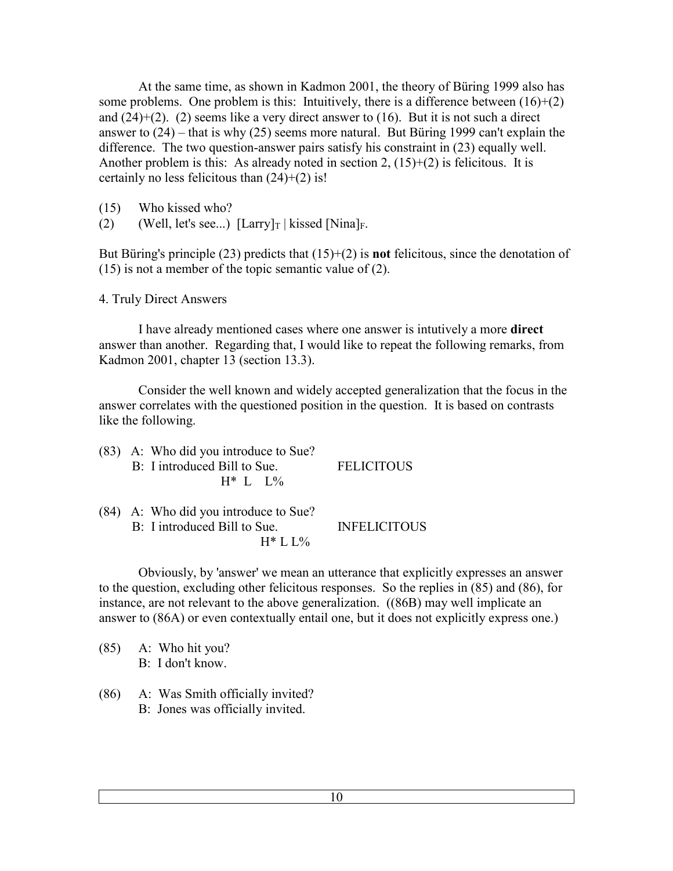At the same time, as shown in Kadmon 2001, the theory of Büring 1999 also has some problems. One problem is this: Intuitively, there is a difference between  $(16)+(2)$ and  $(24)+(2)$ . (2) seems like a very direct answer to  $(16)$ . But it is not such a direct answer to (24) – that is why (25) seems more natural. But Büring 1999 can't explain the difference. The two question-answer pairs satisfy his constraint in (23) equally well. Another problem is this: As already noted in section 2,  $(15)+(2)$  is felicitous. It is certainly no less felicitous than  $(24)+(2)$  is!

- (15) Who kissed who?
- (2) (Well, let's see...)  $\left[\text{Larry} \right]_T$  | kissed  $\left[\text{Nina} \right]_F$ .

But Büring's principle (23) predicts that (15)+(2) is **not** felicitous, since the denotation of (15) is not a member of the topic semantic value of (2).

4. Truly Direct Answers

 I have already mentioned cases where one answer is intutively a more **direct** answer than another. Regarding that, I would like to repeat the following remarks, from Kadmon 2001, chapter 13 (section 13.3).

 Consider the well known and widely accepted generalization that the focus in the answer correlates with the questioned position in the question. It is based on contrasts like the following.

|  | (83) A: Who did you introduce to Sue? |                   |
|--|---------------------------------------|-------------------|
|  | B: I introduced Bill to Sue.          | <b>FELICITOUS</b> |
|  | $H^*$ L $1\%$                         |                   |
|  |                                       |                   |

(84) A: Who did you introduce to Sue? B: I introduced Bill to Sue. INFELICITOUS  $H^*$  L L%

 Obviously, by 'answer' we mean an utterance that explicitly expresses an answer to the question, excluding other felicitous responses. So the replies in (85) and (86), for instance, are not relevant to the above generalization. ((86B) may well implicate an answer to (86A) or even contextually entail one, but it does not explicitly express one.)

(85) A: Who hit you? B: I don't know.

(86) A: Was Smith officially invited? B: Jones was officially invited.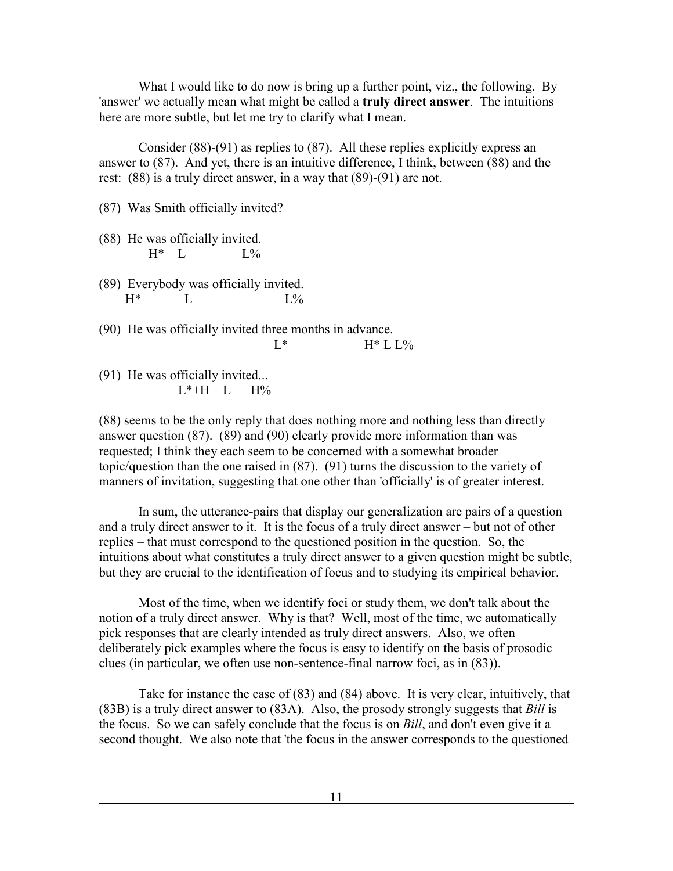What I would like to do now is bring up a further point, viz., the following. By 'answer' we actually mean what might be called a **truly direct answer**. The intuitions here are more subtle, but let me try to clarify what I mean.

 Consider (88)-(91) as replies to (87). All these replies explicitly express an answer to (87). And yet, there is an intuitive difference, I think, between (88) and the rest: (88) is a truly direct answer, in a way that (89)-(91) are not.

(87) Was Smith officially invited?

- (88) He was officially invited.  $H^*$  L  $L\%$
- (89) Everybody was officially invited.  $H^*$  L L%
- (90) He was officially invited three months in advance.  $L^*$   $H^* L L\%$

(91) He was officially invited...  $L^*+H$   $L$   $H%$ 

(88) seems to be the only reply that does nothing more and nothing less than directly answer question (87). (89) and (90) clearly provide more information than was requested; I think they each seem to be concerned with a somewhat broader topic/question than the one raised in (87). (91) turns the discussion to the variety of manners of invitation, suggesting that one other than 'officially' is of greater interest.

 In sum, the utterance-pairs that display our generalization are pairs of a question and a truly direct answer to it. It is the focus of a truly direct answer – but not of other replies – that must correspond to the questioned position in the question. So, the intuitions about what constitutes a truly direct answer to a given question might be subtle, but they are crucial to the identification of focus and to studying its empirical behavior.

 Most of the time, when we identify foci or study them, we don't talk about the notion of a truly direct answer. Why is that? Well, most of the time, we automatically pick responses that are clearly intended as truly direct answers. Also, we often deliberately pick examples where the focus is easy to identify on the basis of prosodic clues (in particular, we often use non-sentence-final narrow foci, as in (83)).

 Take for instance the case of (83) and (84) above. It is very clear, intuitively, that (83B) is a truly direct answer to (83A). Also, the prosody strongly suggests that *Bill* is the focus. So we can safely conclude that the focus is on *Bill*, and don't even give it a second thought. We also note that 'the focus in the answer corresponds to the questioned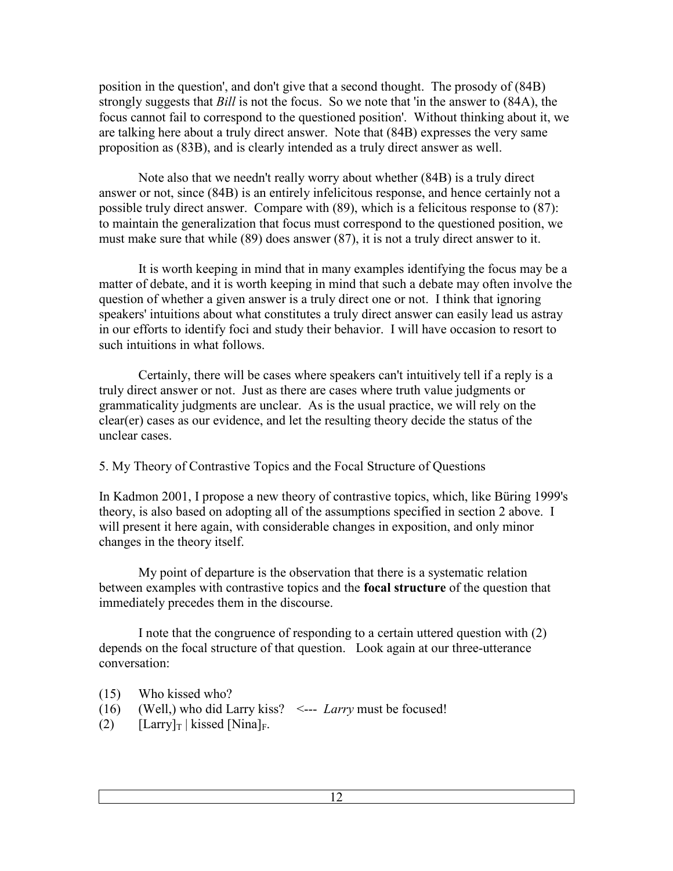position in the question', and don't give that a second thought. The prosody of (84B) strongly suggests that *Bill* is not the focus. So we note that 'in the answer to (84A), the focus cannot fail to correspond to the questioned position'. Without thinking about it, we are talking here about a truly direct answer. Note that (84B) expresses the very same proposition as (83B), and is clearly intended as a truly direct answer as well.

 Note also that we needn't really worry about whether (84B) is a truly direct answer or not, since (84B) is an entirely infelicitous response, and hence certainly not a possible truly direct answer. Compare with (89), which is a felicitous response to (87): to maintain the generalization that focus must correspond to the questioned position, we must make sure that while (89) does answer (87), it is not a truly direct answer to it.

 It is worth keeping in mind that in many examples identifying the focus may be a matter of debate, and it is worth keeping in mind that such a debate may often involve the question of whether a given answer is a truly direct one or not. I think that ignoring speakers' intuitions about what constitutes a truly direct answer can easily lead us astray in our efforts to identify foci and study their behavior. I will have occasion to resort to such intuitions in what follows.

 Certainly, there will be cases where speakers can't intuitively tell if a reply is a truly direct answer or not. Just as there are cases where truth value judgments or grammaticality judgments are unclear. As is the usual practice, we will rely on the clear(er) cases as our evidence, and let the resulting theory decide the status of the unclear cases.

### 5. My Theory of Contrastive Topics and the Focal Structure of Questions

In Kadmon 2001, I propose a new theory of contrastive topics, which, like Büring 1999's theory, is also based on adopting all of the assumptions specified in section 2 above. I will present it here again, with considerable changes in exposition, and only minor changes in the theory itself.

 My point of departure is the observation that there is a systematic relation between examples with contrastive topics and the **focal structure** of the question that immediately precedes them in the discourse.

 I note that the congruence of responding to a certain uttered question with (2) depends on the focal structure of that question. Look again at our three-utterance conversation:

- (15) Who kissed who?
- (16) (Well,) who did Larry kiss? <--- *Larry* must be focused!
- (2)  $[Larry]_T | kissed [Nina]_F.$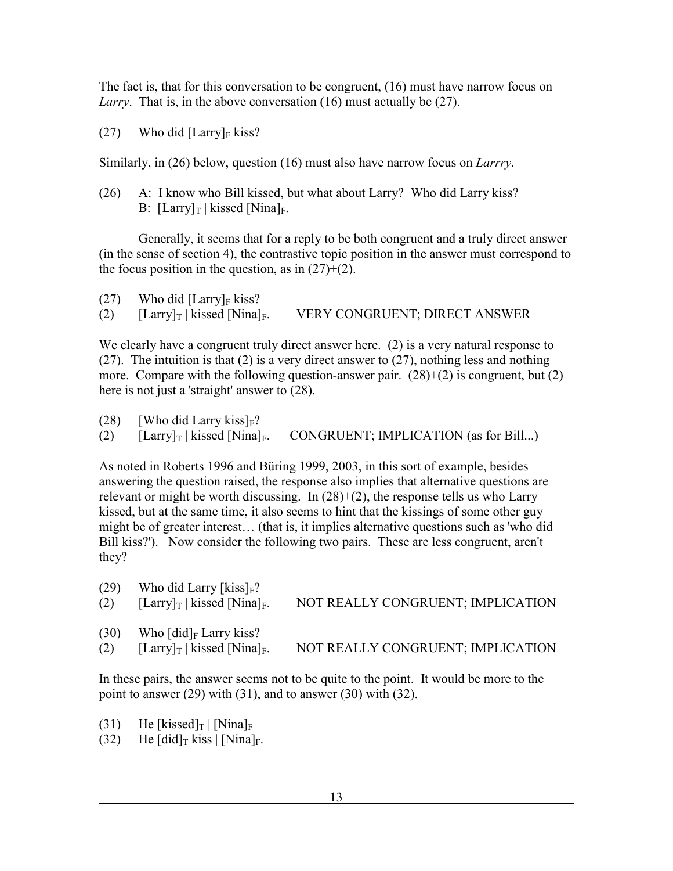The fact is, that for this conversation to be congruent, (16) must have narrow focus on *Larry*. That is, in the above conversation (16) must actually be (27).

(27) Who did  $[ Larry]_F$  kiss?

Similarly, in (26) below, question (16) must also have narrow focus on *Larrry*.

(26) A: I know who Bill kissed, but what about Larry? Who did Larry kiss? B:  $[ Larry]_T | kissed [Nina]_F.$ 

 Generally, it seems that for a reply to be both congruent and a truly direct answer (in the sense of section 4), the contrastive topic position in the answer must correspond to the focus position in the question, as in  $(27)+(2)$ .

| (27) |  | Who did $[ Larry]_F$ kiss? |
|------|--|----------------------------|
|      |  |                            |

(2)  $[Larry]_T | kissed [Nina]_F.$  VERY CONGRUENT; DIRECT ANSWER

We clearly have a congruent truly direct answer here. (2) is a very natural response to (27). The intuition is that (2) is a very direct answer to (27), nothing less and nothing more. Compare with the following question-answer pair.  $(28)+(2)$  is congruent, but  $(2)$ here is not just a 'straight' answer to (28).

- (28) [Who did Larry kiss] $F$ ?
- (2)  $\left[\text{Larry} \right]$  | kissed  $\left[\text{Ninal}_F.\right]$  CONGRUENT; IMPLICATION (as for Bill...)

As noted in Roberts 1996 and Büring 1999, 2003, in this sort of example, besides answering the question raised, the response also implies that alternative questions are relevant or might be worth discussing. In (28)+(2), the response tells us who Larry kissed, but at the same time, it also seems to hint that the kissings of some other guy might be of greater interest… (that is, it implies alternative questions such as 'who did Bill kiss?'). Now consider the following two pairs. These are less congruent, aren't they?

| (29)<br>(2) | Who did Larry [kiss] $_F$ ?<br>$\left[\text{Larry} \right]_T$ kissed $\left[\text{Nina} \right]_F$ . | NOT REALLY CONGRUENT; IMPLICATION |
|-------------|------------------------------------------------------------------------------------------------------|-----------------------------------|
| (30)<br>(2) | Who $\lceil \operatorname{did} \rceil_F$ Larry kiss?<br>$[Larry]_T$   kissed [Nina] <sub>F</sub> .   | NOT REALLY CONGRUENT; IMPLICATION |

In these pairs, the answer seems not to be quite to the point. It would be more to the point to answer (29) with (31), and to answer (30) with (32).

- (31) He [kissed]<sub>T</sub> | [Nina]<sub>F</sub>
- (32) He  $\left[\text{did}\right]$ <sub>T</sub> kiss  $\left[\text{Nina}\right]_F$ .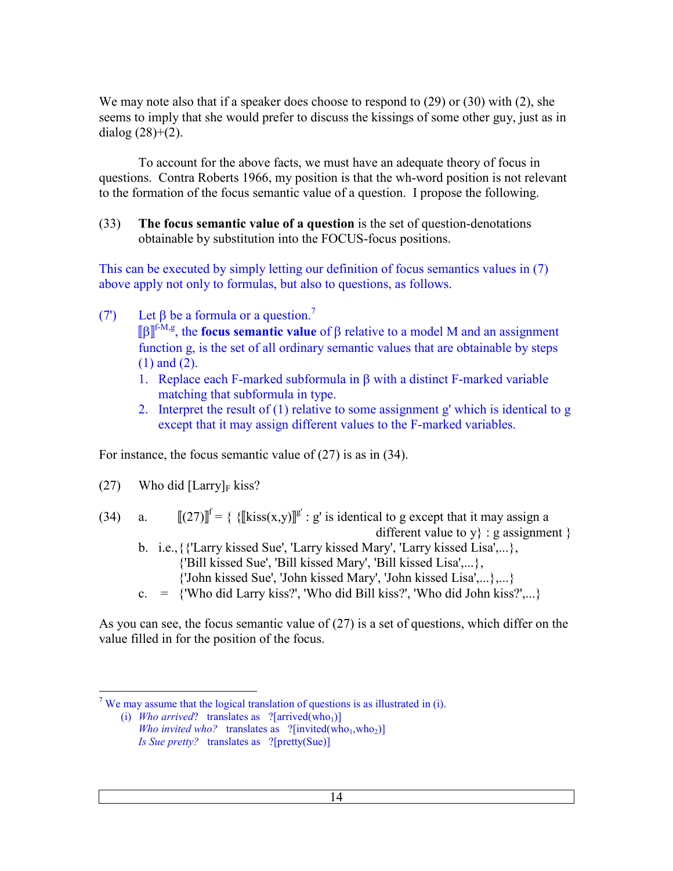We may note also that if a speaker does choose to respond to (29) or (30) with (2), she seems to imply that she would prefer to discuss the kissings of some other guy, just as in dialog  $(28)+(2)$ .

 To account for the above facts, we must have an adequate theory of focus in questions. Contra Roberts 1966, my position is that the wh-word position is not relevant to the formation of the focus semantic value of a question. I propose the following.

(33) **The focus semantic value of a question** is the set of question-denotations obtainable by substitution into the FOCUS-focus positions.

This can be executed by simply letting our definition of focus semantics values in (7) above apply not only to formulas, but also to questions, as follows.

- (7) Let  $\beta$  be a formula or a question.<sup>7</sup>  $[\![β]\!]^{f-M,g}$ , the **focus semantic value** of β relative to a model M and an assignment function g, is the set of all ordinary semantic values that are obtainable by steps (1) and (2).
	- 1. Replace each F-marked subformula in β with a distinct F-marked variable matching that subformula in type.
	- 2. Interpret the result of (1) relative to some assignment g' which is identical to g except that it may assign different values to the F-marked variables.

For instance, the focus semantic value of (27) is as in (34).

(27) Who did [Larry]<sub>F</sub> kiss?

(34) a.  $[[(27)]^{\text{f}} = {\text{Kiss}(x,y)}^{\text{g}} : g'$  is identical to g except that it may assign a different value to  $y$  : g assignment  $\}$ 

- b. i.e., {{'Larry kissed Sue', 'Larry kissed Mary', 'Larry kissed Lisa',...}, {'Bill kissed Sue', 'Bill kissed Mary', 'Bill kissed Lisa',...}, {'John kissed Sue', 'John kissed Mary', 'John kissed Lisa',...},...}
- c.  $=$  {'Who did Larry kiss?', 'Who did Bill kiss?', 'Who did John kiss?',...}

As you can see, the focus semantic value of (27) is a set of questions, which differ on the value filled in for the position of the focus.

 $\overline{a}$ <sup>7</sup> We may assume that the logical translation of questions is as illustrated in (i).

<sup>(</sup>i) *Who arrived*? translates as  $?[arrival]$ *Who invited who?* translates as  $?$ [invited(who<sub>1</sub>,who<sub>2</sub>)] *Is Sue pretty?* translates as ?[pretty(Sue)]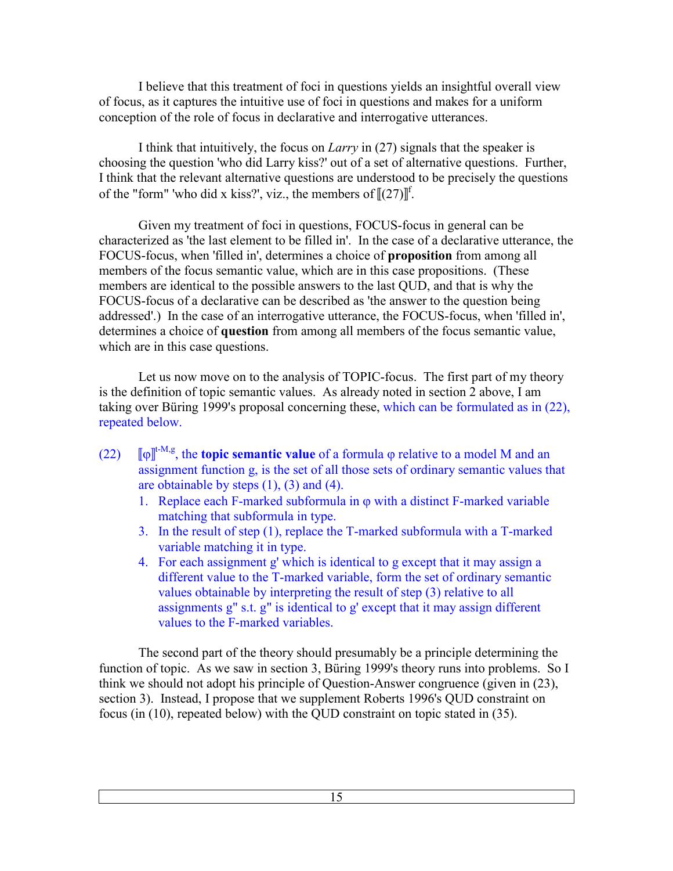I believe that this treatment of foci in questions yields an insightful overall view of focus, as it captures the intuitive use of foci in questions and makes for a uniform conception of the role of focus in declarative and interrogative utterances.

 I think that intuitively, the focus on *Larry* in (27) signals that the speaker is choosing the question 'who did Larry kiss?' out of a set of alternative questions. Further, I think that the relevant alternative questions are understood to be precisely the questions of the "form" 'who did x kiss?', viz., the members of  $[(27)]^f$ .

 Given my treatment of foci in questions, FOCUS-focus in general can be characterized as 'the last element to be filled in'. In the case of a declarative utterance, the FOCUS-focus, when 'filled in', determines a choice of **proposition** from among all members of the focus semantic value, which are in this case propositions. (These members are identical to the possible answers to the last QUD, and that is why the FOCUS-focus of a declarative can be described as 'the answer to the question being addressed'.) In the case of an interrogative utterance, the FOCUS-focus, when 'filled in', determines a choice of **question** from among all members of the focus semantic value, which are in this case questions.

 Let us now move on to the analysis of TOPIC-focus. The first part of my theory is the definition of topic semantic values. As already noted in section 2 above, I am taking over Büring 1999's proposal concerning these, which can be formulated as in (22), repeated below.

- $(22)$ t-M,g, the **topic semantic value** of a formula ϕ relative to a model M and an assignment function g, is the set of all those sets of ordinary semantic values that are obtainable by steps  $(1)$ ,  $(3)$  and  $(4)$ .
	- 1. Replace each F-marked subformula in  $\varphi$  with a distinct F-marked variable matching that subformula in type.
	- 3. In the result of step (1), replace the T-marked subformula with a T-marked variable matching it in type.
	- 4. For each assignment g' which is identical to g except that it may assign a different value to the T-marked variable, form the set of ordinary semantic values obtainable by interpreting the result of step (3) relative to all assignments g" s.t. g" is identical to g' except that it may assign different values to the F-marked variables.

 The second part of the theory should presumably be a principle determining the function of topic. As we saw in section 3, Büring 1999's theory runs into problems. So I think we should not adopt his principle of Question-Answer congruence (given in (23), section 3). Instead, I propose that we supplement Roberts 1996's QUD constraint on focus (in (10), repeated below) with the QUD constraint on topic stated in (35).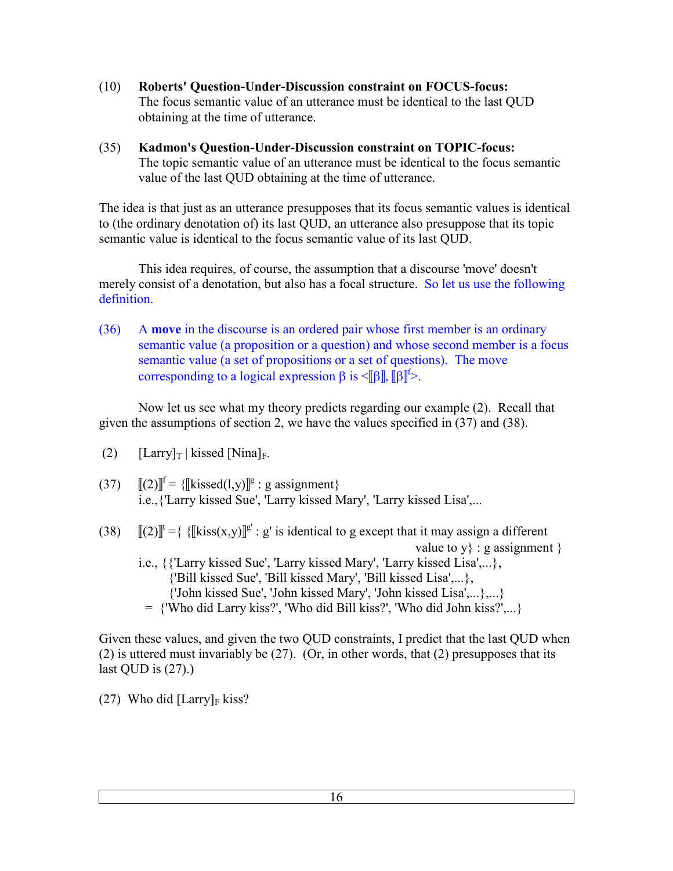- (10) **Roberts' Question-Under-Discussion constraint on FOCUS-focus:** The focus semantic value of an utterance must be identical to the last QUD obtaining at the time of utterance.
- (35) **Kadmon's Question-Under-Discussion constraint on TOPIC-focus:** The topic semantic value of an utterance must be identical to the focus semantic value of the last QUD obtaining at the time of utterance.

The idea is that just as an utterance presupposes that its focus semantic values is identical to (the ordinary denotation of) its last QUD, an utterance also presuppose that its topic semantic value is identical to the focus semantic value of its last QUD.

 This idea requires, of course, the assumption that a discourse 'move' doesn't merely consist of a denotation, but also has a focal structure. So let us use the following definition.

(36) A **move** in the discourse is an ordered pair whose first member is an ordinary semantic value (a proposition or a question) and whose second member is a focus semantic value (a set of propositions or a set of questions). The move corresponding to a logical expression  $\beta$  is  $\leq$   $\beta$ ,  $\beta$ <sup> $\uparrow$ </sup>>.

 Now let us see what my theory predicts regarding our example (2). Recall that given the assumptions of section 2, we have the values specified in (37) and (38).

- (2)  $[ Larry]_T | kissed [Nina]_F.$
- (37)  $[[(2)]^f = \{[[kissed(1,y)]^g : g \text{ assignment}\}\$ i.e.,{'Larry kissed Sue', 'Larry kissed Mary', 'Larry kissed Lisa',...
- (38)  $[[(2)]^t = {\{\|\text{kiss}(x,y)\|^g : g\}}$  is identical to g except that it may assign a different value to  $y$  : g assignment } i.e., {{'Larry kissed Sue', 'Larry kissed Mary', 'Larry kissed Lisa',...}, {'Bill kissed Sue', 'Bill kissed Mary', 'Bill kissed Lisa',...}, {'John kissed Sue', 'John kissed Mary', 'John kissed Lisa',...},...} = {'Who did Larry kiss?', 'Who did Bill kiss?', 'Who did John kiss?',...}

Given these values, and given the two QUD constraints, I predict that the last QUD when (2) is uttered must invariably be (27). (Or, in other words, that (2) presupposes that its last QUD is  $(27)$ .)

(27) Who did  $[ Larry]_F$  kiss?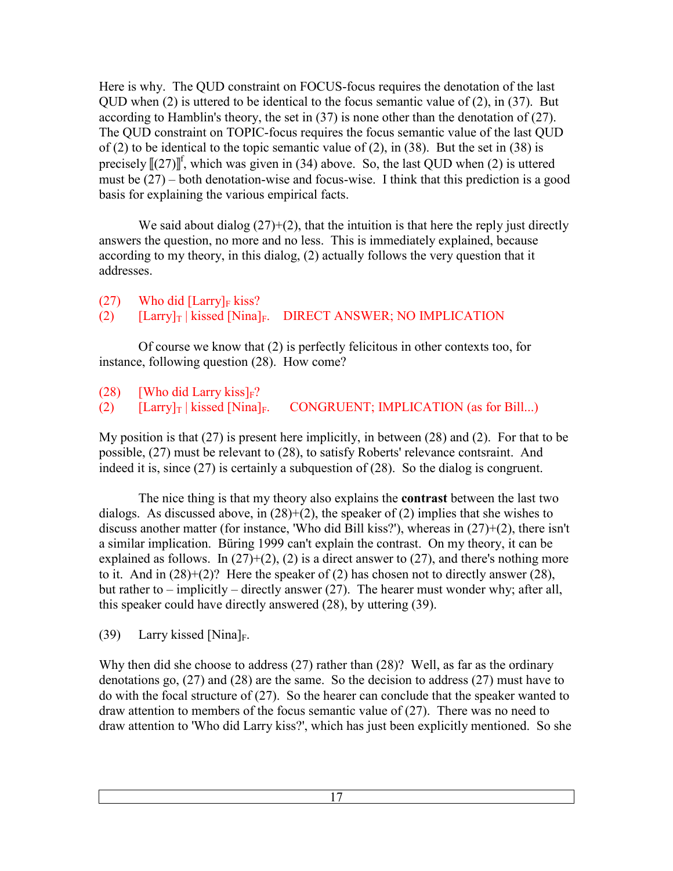Here is why. The QUD constraint on FOCUS-focus requires the denotation of the last QUD when (2) is uttered to be identical to the focus semantic value of (2), in (37). But according to Hamblin's theory, the set in (37) is none other than the denotation of (27). The QUD constraint on TOPIC-focus requires the focus semantic value of the last QUD of (2) to be identical to the topic semantic value of (2), in (38). But the set in (38) is precisely  $[(27)]^f$ , which was given in (34) above. So, the last QUD when (2) is uttered must be (27) – both denotation-wise and focus-wise. I think that this prediction is a good basis for explaining the various empirical facts.

We said about dialog  $(27)+(2)$ , that the intuition is that here the reply just directly answers the question, no more and no less. This is immediately explained, because according to my theory, in this dialog, (2) actually follows the very question that it addresses.

# $(27)$  Who did [Larry]<sub>F</sub> kiss? (2)  $\left[\text{Larry} \right]$  | kissed  $\left[\text{Nina} \right]_F$ . DIRECT ANSWER; NO IMPLICATION

 Of course we know that (2) is perfectly felicitous in other contexts too, for instance, following question (28). How come?

(28) [Who did Larry kiss]<sub>F</sub>?<br>(2) [Larry]<sub>T</sub> | kissed [Nina]<sub>F</sub>. (2)  $\left[\text{Larry} \right]$  kissed  $\left[\text{Ninal}_F\right]$ . CONGRUENT; IMPLICATION (as for Bill...)

My position is that (27) is present here implicitly, in between (28) and (2). For that to be possible, (27) must be relevant to (28), to satisfy Roberts' relevance contsraint. And indeed it is, since (27) is certainly a subquestion of (28). So the dialog is congruent.

 The nice thing is that my theory also explains the **contrast** between the last two dialogs. As discussed above, in  $(28)+(2)$ , the speaker of  $(2)$  implies that she wishes to discuss another matter (for instance, 'Who did Bill kiss?'), whereas in (27)+(2), there isn't a similar implication. Büring 1999 can't explain the contrast. On my theory, it can be explained as follows. In  $(27)+(2)$ ,  $(2)$  is a direct answer to  $(27)$ , and there's nothing more to it. And in  $(28)+(2)$ ? Here the speaker of  $(2)$  has chosen not to directly answer  $(28)$ , but rather to – implicitly – directly answer  $(27)$ . The hearer must wonder why; after all, this speaker could have directly answered (28), by uttering (39).

(39) Larry kissed [Nina]<sub>F</sub>.

Why then did she choose to address (27) rather than (28)? Well, as far as the ordinary denotations go, (27) and (28) are the same. So the decision to address (27) must have to do with the focal structure of (27). So the hearer can conclude that the speaker wanted to draw attention to members of the focus semantic value of (27). There was no need to draw attention to 'Who did Larry kiss?', which has just been explicitly mentioned. So she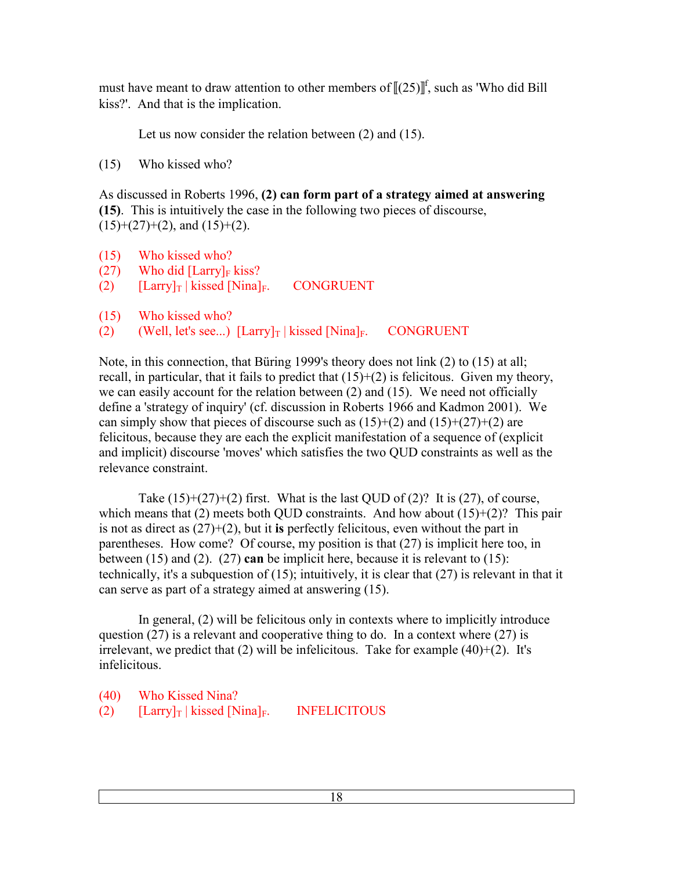must have meant to draw attention to other members of  $[(25)]^f$ , such as 'Who did Bill kiss?'. And that is the implication.

Let us now consider the relation between (2) and (15).

(15) Who kissed who?

As discussed in Roberts 1996, **(2) can form part of a strategy aimed at answering (15)**. This is intuitively the case in the following two pieces of discourse,  $(15)+(27)+(2)$ , and  $(15)+(2)$ .

- (15) Who kissed who?
- $(27)$  Who did [Larry]<sub>F</sub> kiss?
- (2)  $[Larry]_T | kissed [Nina]_F$ . CONGRUENT
- (15) Who kissed who?
- (2) (Well, let's see...)  $\text{[Larry]}_{\text{T}}$  | kissed  $\text{[Nina]}_{\text{F}}$ . CONGRUENT

Note, in this connection, that Büring 1999's theory does not link (2) to (15) at all; recall, in particular, that it fails to predict that (15)+(2) is felicitous. Given my theory, we can easily account for the relation between (2) and (15). We need not officially define a 'strategy of inquiry' (cf. discussion in Roberts 1966 and Kadmon 2001). We can simply show that pieces of discourse such as  $(15)+(2)$  and  $(15)+(27)+(2)$  are felicitous, because they are each the explicit manifestation of a sequence of (explicit and implicit) discourse 'moves' which satisfies the two QUD constraints as well as the relevance constraint.

Take  $(15)+(27)+(2)$  first. What is the last QUD of  $(2)$ ? It is  $(27)$ , of course, which means that (2) meets both QUD constraints. And how about  $(15)+(2)$ ? This pair is not as direct as (27)+(2), but it **is** perfectly felicitous, even without the part in parentheses. How come? Of course, my position is that (27) is implicit here too, in between (15) and (2). (27) **can** be implicit here, because it is relevant to (15): technically, it's a subquestion of (15); intuitively, it is clear that (27) is relevant in that it can serve as part of a strategy aimed at answering (15).

 In general, (2) will be felicitous only in contexts where to implicitly introduce question  $(27)$  is a relevant and cooperative thing to do. In a context where  $(27)$  is irrelevant, we predict that  $(2)$  will be infelicitous. Take for example  $(40)+(2)$ . It's infelicitous.

(40) Who Kissed Nina? (2)  $[ Larry]_T | kissed [Nina]_F.$  INFELICITOUS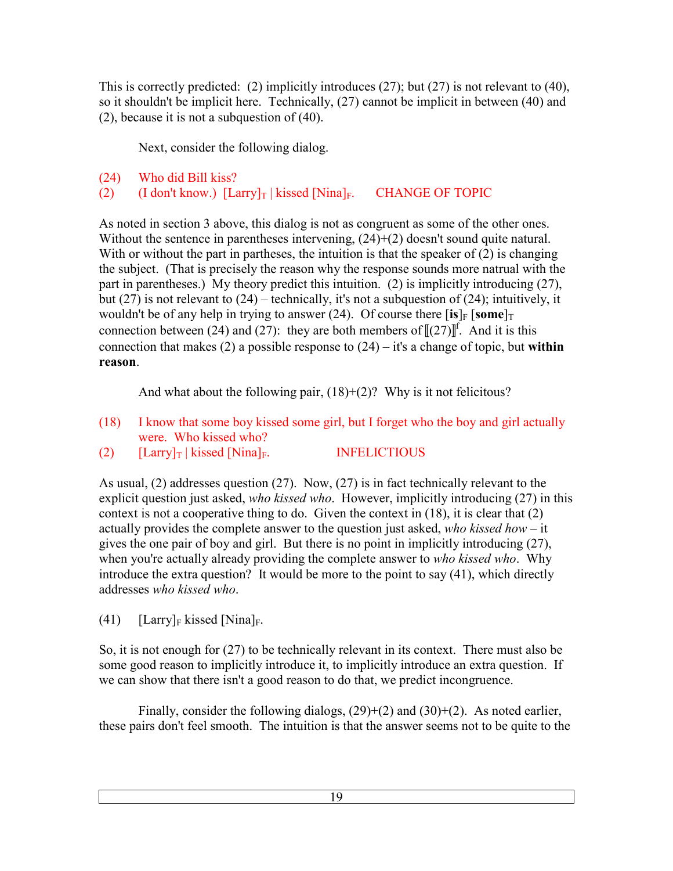This is correctly predicted: (2) implicitly introduces (27); but (27) is not relevant to (40), so it shouldn't be implicit here. Technically, (27) cannot be implicit in between (40) and (2), because it is not a subquestion of (40).

Next, consider the following dialog.

```
(24) Who did Bill kiss?
```

```
(2) (I don't know.) \left[\text{Larry} \right]_T | kissed \left[\text{Nina} \right]_F. CHANGE OF TOPIC
```
As noted in section 3 above, this dialog is not as congruent as some of the other ones. Without the sentence in parentheses intervening,  $(24)+(2)$  doesn't sound quite natural. With or without the part in partheses, the intuition is that the speaker of (2) is changing the subject. (That is precisely the reason why the response sounds more natrual with the part in parentheses.) My theory predict this intuition. (2) is implicitly introducing (27), but (27) is not relevant to (24) – technically, it's not a subquestion of (24); intuitively, it wouldn't be of any help in trying to answer (24). Of course there  $\left[\mathbf{is}\right]_F \left[\mathbf{some}\right]_T$ connection between (24) and (27): they are both members of  $[[(27)]^f$ . And it is this connection that makes (2) a possible response to (24) – it's a change of topic, but **within reason**.

And what about the following pair,  $(18)+(2)$ ? Why is it not felicitous?

- (18) I know that some boy kissed some girl, but I forget who the boy and girl actually were. Who kissed who?
- (2)  $[ Larry]_T | kissed [Nina]_F.$  INFELICTIOUS

As usual, (2) addresses question (27). Now, (27) is in fact technically relevant to the explicit question just asked, *who kissed who*. However, implicitly introducing (27) in this context is not a cooperative thing to do. Given the context in (18), it is clear that (2) actually provides the complete answer to the question just asked, *who kissed how* – it gives the one pair of boy and girl. But there is no point in implicitly introducing (27), when you're actually already providing the complete answer to *who kissed who*. Why introduce the extra question? It would be more to the point to say (41), which directly addresses *who kissed who*.

(41) [Larry]<sub>F</sub> kissed [Nina]<sub>F</sub>.

So, it is not enough for (27) to be technically relevant in its context. There must also be some good reason to implicitly introduce it, to implicitly introduce an extra question. If we can show that there isn't a good reason to do that, we predict incongruence.

Finally, consider the following dialogs,  $(29)+(2)$  and  $(30)+(2)$ . As noted earlier, these pairs don't feel smooth. The intuition is that the answer seems not to be quite to the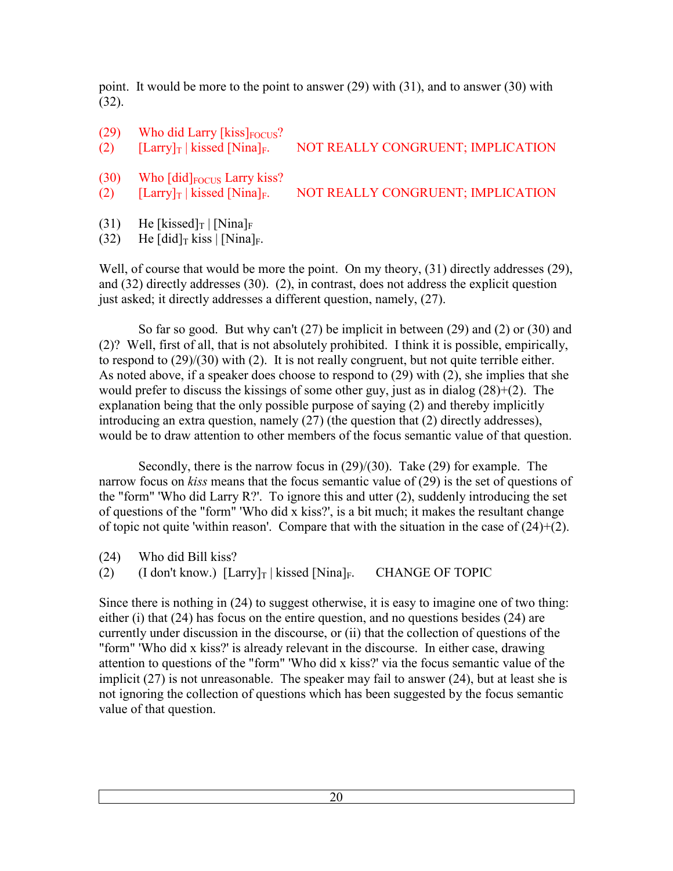point. It would be more to the point to answer (29) with (31), and to answer (30) with (32).

- $(29)$  Who did Larry [kiss]<sub>FOCUS</sub>? (2)  $\left[\text{Larry} \right]$  kissed  $\left[\text{Ninal}_F.\right]$  NOT REALLY CONGRUENT; IMPLICATION  $(30)$  Who  $\left[\text{did}\right]$ <sub>FOCUS</sub> Larry kiss? (2)  $[Larry]_T | kissed [Nina]_F.$  NOT REALLY CONGRUENT; IMPLICATION
- (31) He [kissed]<sub>T</sub> | [Nina]<sub>F</sub>

(32) He  $\left[\text{did}\right]$ <sub>T</sub> kiss  $\left[\text{Nina}\right]_F$ .

Well, of course that would be more the point. On my theory, (31) directly addresses (29), and (32) directly addresses (30). (2), in contrast, does not address the explicit question just asked; it directly addresses a different question, namely, (27).

 So far so good. But why can't (27) be implicit in between (29) and (2) or (30) and (2)? Well, first of all, that is not absolutely prohibited. I think it is possible, empirically, to respond to (29)/(30) with (2). It is not really congruent, but not quite terrible either. As noted above, if a speaker does choose to respond to (29) with (2), she implies that she would prefer to discuss the kissings of some other guy, just as in dialog (28)+(2). The explanation being that the only possible purpose of saying (2) and thereby implicitly introducing an extra question, namely (27) (the question that (2) directly addresses), would be to draw attention to other members of the focus semantic value of that question.

 Secondly, there is the narrow focus in (29)/(30). Take (29) for example. The narrow focus on *kiss* means that the focus semantic value of (29) is the set of questions of the "form" 'Who did Larry R?'. To ignore this and utter (2), suddenly introducing the set of questions of the "form" 'Who did x kiss?', is a bit much; it makes the resultant change of topic not quite 'within reason'. Compare that with the situation in the case of  $(24)+(2)$ .

(24) Who did Bill kiss?

(2) (I don't know.)  $[ Larry]_T | kissed [Nina]_F$ . CHANGE OF TOPIC

Since there is nothing in (24) to suggest otherwise, it is easy to imagine one of two thing: either (i) that (24) has focus on the entire question, and no questions besides (24) are currently under discussion in the discourse, or (ii) that the collection of questions of the "form" 'Who did x kiss?' is already relevant in the discourse. In either case, drawing attention to questions of the "form" 'Who did x kiss?' via the focus semantic value of the implicit (27) is not unreasonable. The speaker may fail to answer (24), but at least she is not ignoring the collection of questions which has been suggested by the focus semantic value of that question.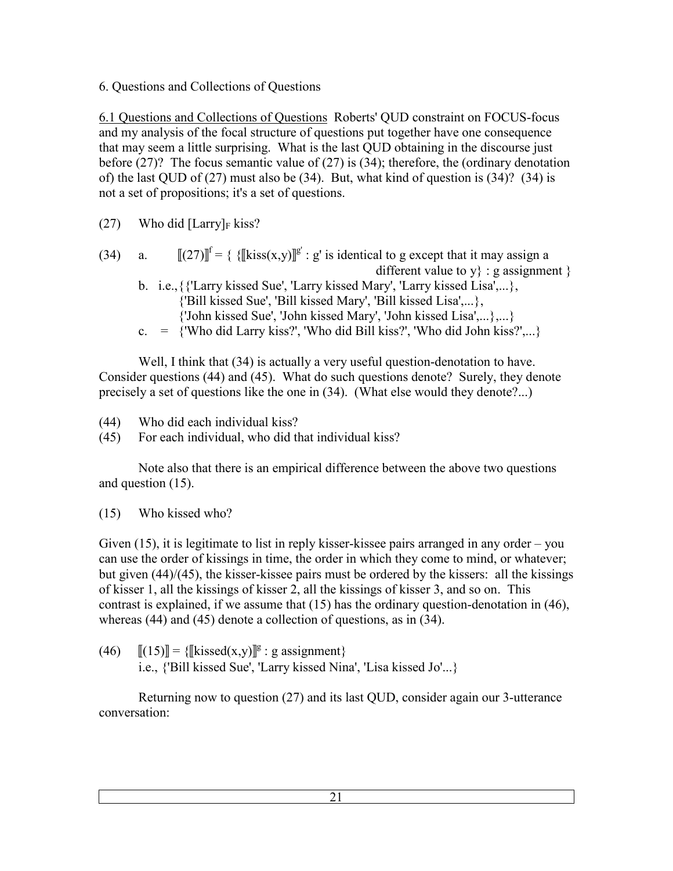6. Questions and Collections of Questions

6.1 Questions and Collections of Questions Roberts' QUD constraint on FOCUS-focus and my analysis of the focal structure of questions put together have one consequence that may seem a little surprising. What is the last QUD obtaining in the discourse just before (27)? The focus semantic value of (27) is (34); therefore, the (ordinary denotation of) the last QUD of (27) must also be (34). But, what kind of question is (34)? (34) is not a set of propositions; it's a set of questions.

- (27) Who did  $[ Larry]_F$  kiss?
- (34) a.  $[[(27)]^{\text{f}} = {\text{Kiss}(x,y)}^{\text{g}} : g'$  is identical to g except that it may assign a different value to  $y$  : g assignment  $\}$ 
	- b. i.e., {{'Larry kissed Sue', 'Larry kissed Mary', 'Larry kissed Lisa',...}, {'Bill kissed Sue', 'Bill kissed Mary', 'Bill kissed Lisa',...}, {'John kissed Sue', 'John kissed Mary', 'John kissed Lisa',...},...}
	- c.  $=$  {'Who did Larry kiss?', 'Who did Bill kiss?', 'Who did John kiss?',...}

 Well, I think that (34) is actually a very useful question-denotation to have. Consider questions (44) and (45). What do such questions denote? Surely, they denote precisely a set of questions like the one in (34). (What else would they denote?...)

- (44) Who did each individual kiss?
- (45) For each individual, who did that individual kiss?

 Note also that there is an empirical difference between the above two questions and question (15).

(15) Who kissed who?

Given (15), it is legitimate to list in reply kisser-kissee pairs arranged in any order – you can use the order of kissings in time, the order in which they come to mind, or whatever; but given (44)/(45), the kisser-kissee pairs must be ordered by the kissers: all the kissings of kisser 1, all the kissings of kisser 2, all the kissings of kisser 3, and so on. This contrast is explained, if we assume that (15) has the ordinary question-denotation in (46), whereas (44) and (45) denote a collection of questions, as in (34).

(46)  $[[(15)]] = {\text{Kissed}(x,y)]}^g : g \text{ assignment}$ i.e., {'Bill kissed Sue', 'Larry kissed Nina', 'Lisa kissed Jo'...}

 Returning now to question (27) and its last QUD, consider again our 3-utterance conversation: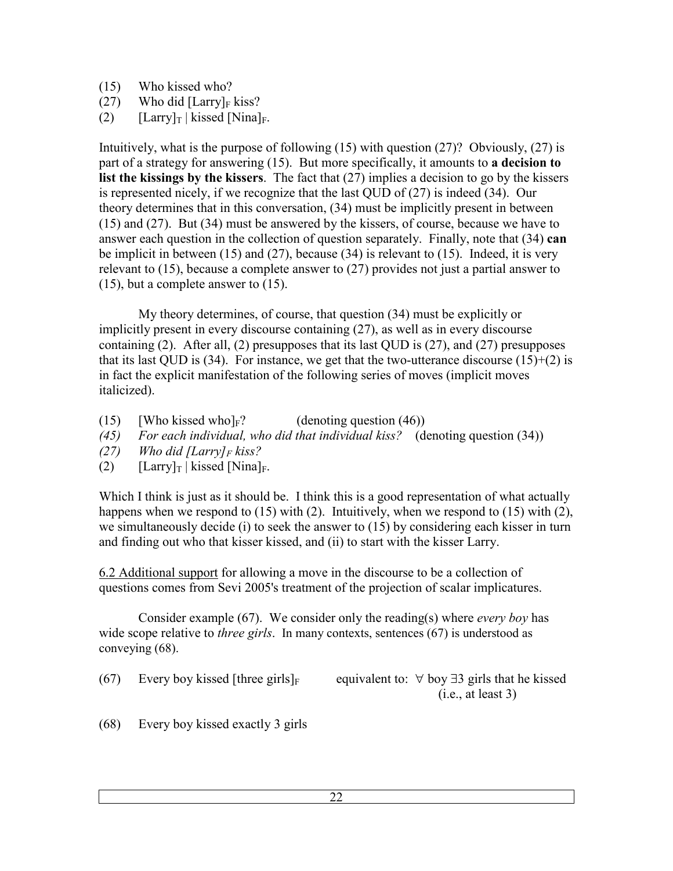- (15) Who kissed who?
- (27) Who did  $[ Larry]_F$  kiss?
- (2)  $[Larrow]_T | kissed [Nina]_F.$

Intuitively, what is the purpose of following (15) with question (27)? Obviously, (27) is part of a strategy for answering (15). But more specifically, it amounts to **a decision to list the kissings by the kissers**. The fact that (27) implies a decision to go by the kissers is represented nicely, if we recognize that the last QUD of (27) is indeed (34). Our theory determines that in this conversation, (34) must be implicitly present in between (15) and (27). But (34) must be answered by the kissers, of course, because we have to answer each question in the collection of question separately. Finally, note that (34) **can** be implicit in between (15) and (27), because (34) is relevant to (15). Indeed, it is very relevant to (15), because a complete answer to (27) provides not just a partial answer to (15), but a complete answer to (15).

 My theory determines, of course, that question (34) must be explicitly or implicitly present in every discourse containing (27), as well as in every discourse containing (2). After all, (2) presupposes that its last QUD is (27), and (27) presupposes that its last OUD is (34). For instance, we get that the two-utterance discourse (15)+(2) is in fact the explicit manifestation of the following series of moves (implicit moves italicized).

- (15) [Who kissed who] $_F$ ? (denoting question (46))
- *(45) For each individual, who did that individual kiss?* (denoting question (34))
- *(27) Who did [Larry]F kiss?*
- (2)  $[Larry]_T | kissed [Nina]_F.$

Which I think is just as it should be. I think this is a good representation of what actually happens when we respond to (15) with (2). Intuitively, when we respond to (15) with (2), we simultaneously decide (i) to seek the answer to (15) by considering each kisser in turn and finding out who that kisser kissed, and (ii) to start with the kisser Larry.

6.2 Additional support for allowing a move in the discourse to be a collection of questions comes from Sevi 2005's treatment of the projection of scalar implicatures.

 Consider example (67). We consider only the reading(s) where *every boy* has wide scope relative to *three girls*. In many contexts, sentences (67) is understood as conveying (68).

(67) Every boy kissed [three girls]<sub>F</sub> equivalent to:  $\forall$  boy  $\exists$ 3 girls that he kissed

 $(i.e., at least 3)$ 

(68) Every boy kissed exactly 3 girls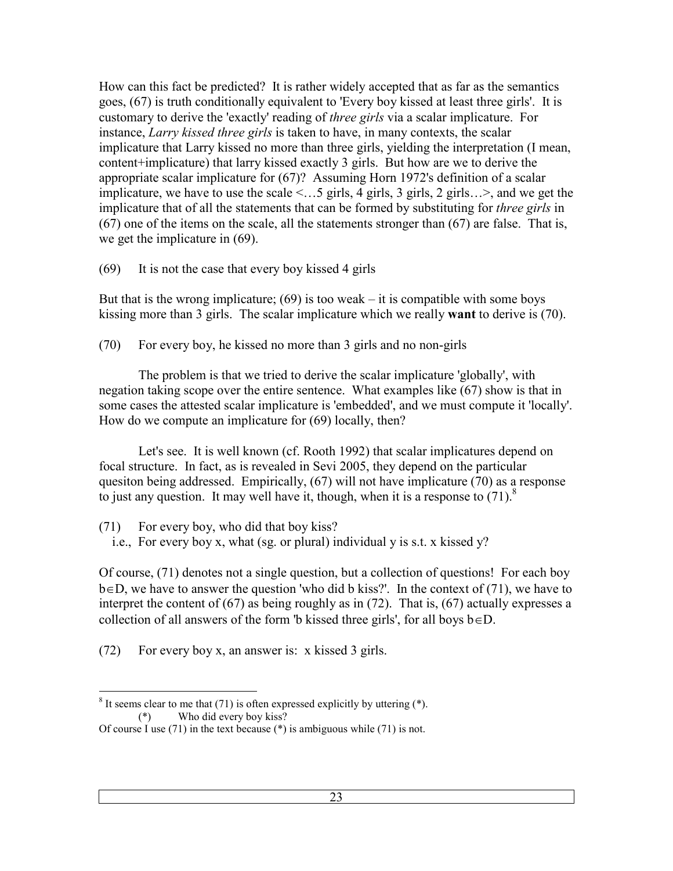How can this fact be predicted? It is rather widely accepted that as far as the semantics goes, (67) is truth conditionally equivalent to 'Every boy kissed at least three girls'. It is customary to derive the 'exactly' reading of *three girls* via a scalar implicature. For instance, *Larry kissed three girls* is taken to have, in many contexts, the scalar implicature that Larry kissed no more than three girls, yielding the interpretation (I mean, content+implicature) that larry kissed exactly 3 girls. But how are we to derive the appropriate scalar implicature for (67)? Assuming Horn 1972's definition of a scalar implicature, we have to use the scale <…5 girls, 4 girls, 3 girls, 2 girls…>, and we get the implicature that of all the statements that can be formed by substituting for *three girls* in (67) one of the items on the scale, all the statements stronger than (67) are false. That is, we get the implicature in (69).

(69) It is not the case that every boy kissed 4 girls

But that is the wrong implicature;  $(69)$  is too weak – it is compatible with some boys kissing more than 3 girls. The scalar implicature which we really **want** to derive is (70).

(70) For every boy, he kissed no more than 3 girls and no non-girls

 The problem is that we tried to derive the scalar implicature 'globally', with negation taking scope over the entire sentence. What examples like (67) show is that in some cases the attested scalar implicature is 'embedded', and we must compute it 'locally'. How do we compute an implicature for (69) locally, then?

 Let's see. It is well known (cf. Rooth 1992) that scalar implicatures depend on focal structure. In fact, as is revealed in Sevi 2005, they depend on the particular quesiton being addressed. Empirically, (67) will not have implicature (70) as a response to just any question. It may well have it, though, when it is a response to  $(71)$ .<sup>8</sup>

(71) For every boy, who did that boy kiss?

i.e., For every boy x, what (sg. or plural) individual y is s.t. x kissed y?

Of course, (71) denotes not a single question, but a collection of questions! For each boy b∈D, we have to answer the question 'who did b kiss?'. In the context of (71), we have to interpret the content of (67) as being roughly as in (72). That is, (67) actually expresses a collection of all answers of the form 'b kissed three girls', for all boys  $b \in D$ .

(72) For every boy x, an answer is: x kissed 3 girls.

<sup>&</sup>lt;sup>8</sup> It seems clear to me that (71) is often expressed explicitly by uttering (\*). (\*) Who did every boy kiss?

Of course I use (71) in the text because (\*) is ambiguous while (71) is not.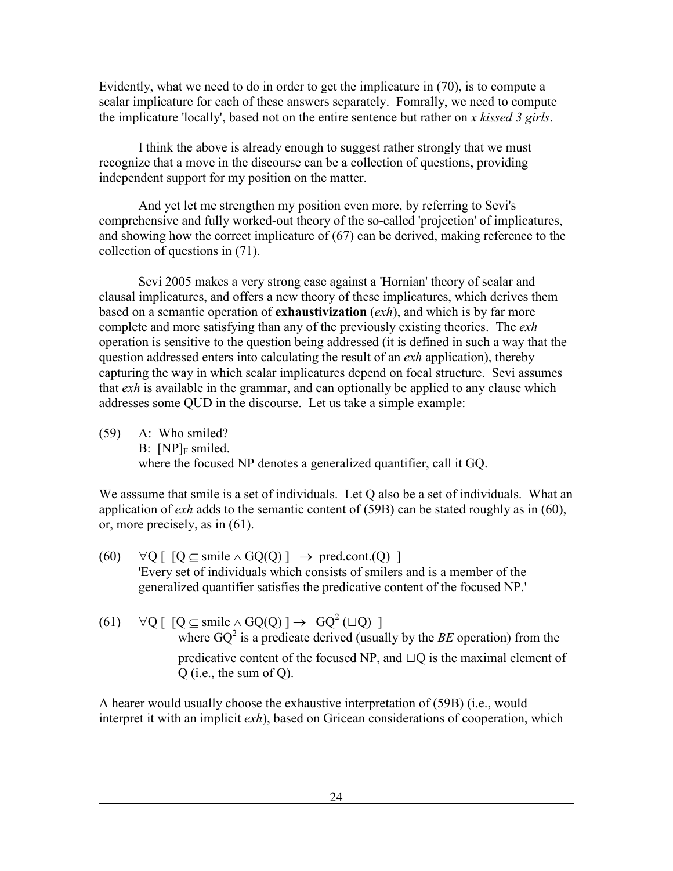Evidently, what we need to do in order to get the implicature in (70), is to compute a scalar implicature for each of these answers separately. Fomrally, we need to compute the implicature 'locally', based not on the entire sentence but rather on *x kissed 3 girls*.

 I think the above is already enough to suggest rather strongly that we must recognize that a move in the discourse can be a collection of questions, providing independent support for my position on the matter.

 And yet let me strengthen my position even more, by referring to Sevi's comprehensive and fully worked-out theory of the so-called 'projection' of implicatures, and showing how the correct implicature of (67) can be derived, making reference to the collection of questions in (71).

 Sevi 2005 makes a very strong case against a 'Hornian' theory of scalar and clausal implicatures, and offers a new theory of these implicatures, which derives them based on a semantic operation of **exhaustivization** (*exh*), and which is by far more complete and more satisfying than any of the previously existing theories. The *exh* operation is sensitive to the question being addressed (it is defined in such a way that the question addressed enters into calculating the result of an *exh* application), thereby capturing the way in which scalar implicatures depend on focal structure. Sevi assumes that *exh* is available in the grammar, and can optionally be applied to any clause which addresses some QUD in the discourse. Let us take a simple example:

(59) A: Who smiled?  $B: [NP]_F$  smiled. where the focused NP denotes a generalized quantifier, call it GQ.

We asssume that smile is a set of individuals. Let Q also be a set of individuals. What an application of *exh* adds to the semantic content of (59B) can be stated roughly as in (60), or, more precisely, as in (61).

- $(60)$  ∀Q [ [Q ⊆ smile ∧ GQ(Q) ]  $\rightarrow$  pred.cont.(Q) ] 'Every set of individuals which consists of smilers and is a member of the generalized quantifier satisfies the predicative content of the focused NP.'
- $(61)$   $\forall Q \, [ [Q \subseteq \text{smile} \land GQ(Q)] \rightarrow GQ^2(\Box Q)]$ where  $GQ^2$  is a predicate derived (usually by the *BE* operation) from the predicative content of the focused NP, and  $\Box$  Q is the maximal element of Q (i.e., the sum of Q).

A hearer would usually choose the exhaustive interpretation of (59B) (i.e., would interpret it with an implicit *exh*), based on Gricean considerations of cooperation, which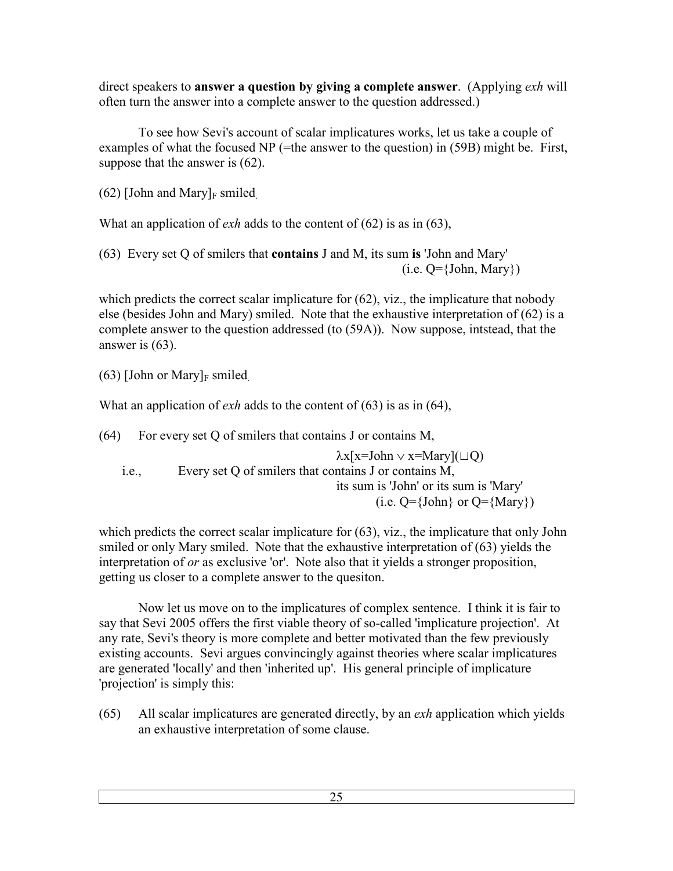direct speakers to **answer a question by giving a complete answer**. (Applying *exh* will often turn the answer into a complete answer to the question addressed.)

 To see how Sevi's account of scalar implicatures works, let us take a couple of examples of what the focused NP (=the answer to the question) in (59B) might be. First, suppose that the answer is (62).

 $(62)$  [John and Mary]<sub>F</sub> smiled

What an application of *exh* adds to the content of (62) is as in (63),

(63) Every set Q of smilers that **contains** J and M, its sum **is** 'John and Mary'  $(i.e. Q = {John, Mary})$ 

which predicts the correct scalar implicature for  $(62)$ , viz., the implicature that nobody else (besides John and Mary) smiled. Note that the exhaustive interpretation of (62) is a complete answer to the question addressed (to (59A)). Now suppose, intstead, that the answer is (63).

 $(63)$  [John or Mary]<sub>F</sub> smiled.

What an application of *exh* adds to the content of (63) is as in (64),

(64) For every set Q of smilers that contains J or contains M,

 $\lambda x[x=John \vee x=Mary](\square Q)$  i.e., Every set Q of smilers that contains J or contains M, its sum is 'John' or its sum is 'Mary' (i.e.  $Q = \{John\}$  or  $Q = \{Mary\}$ )

which predicts the correct scalar implicature for (63), viz., the implicature that only John smiled or only Mary smiled. Note that the exhaustive interpretation of (63) yields the interpretation of *or* as exclusive 'or'. Note also that it yields a stronger proposition, getting us closer to a complete answer to the quesiton.

 Now let us move on to the implicatures of complex sentence. I think it is fair to say that Sevi 2005 offers the first viable theory of so-called 'implicature projection'. At any rate, Sevi's theory is more complete and better motivated than the few previously existing accounts. Sevi argues convincingly against theories where scalar implicatures are generated 'locally' and then 'inherited up'. His general principle of implicature 'projection' is simply this:

(65) All scalar implicatures are generated directly, by an *exh* application which yields an exhaustive interpretation of some clause.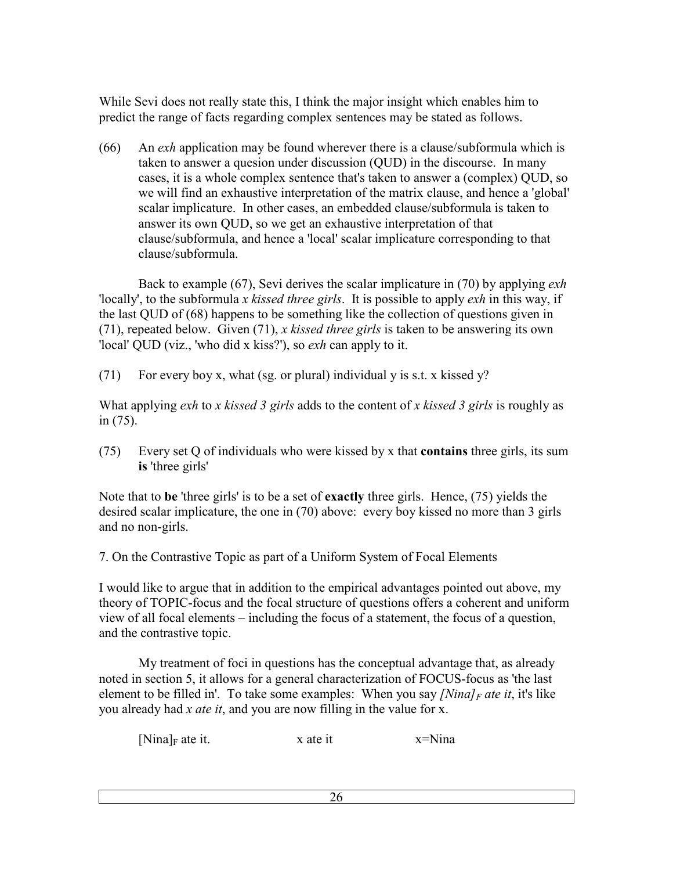While Sevi does not really state this, I think the major insight which enables him to predict the range of facts regarding complex sentences may be stated as follows.

(66) An *exh* application may be found wherever there is a clause/subformula which is taken to answer a quesion under discussion (QUD) in the discourse. In many cases, it is a whole complex sentence that's taken to answer a (complex) QUD, so we will find an exhaustive interpretation of the matrix clause, and hence a 'global' scalar implicature. In other cases, an embedded clause/subformula is taken to answer its own QUD, so we get an exhaustive interpretation of that clause/subformula, and hence a 'local' scalar implicature corresponding to that clause/subformula.

 Back to example (67), Sevi derives the scalar implicature in (70) by applying *exh* 'locally', to the subformula *x kissed three girls*. It is possible to apply *exh* in this way, if the last QUD of (68) happens to be something like the collection of questions given in (71), repeated below. Given (71), *x kissed three girls* is taken to be answering its own 'local' QUD (viz., 'who did x kiss?'), so *exh* can apply to it.

(71) For every boy x, what (sg. or plural) individual y is s.t. x kissed  $y$ ?

What applying *exh* to *x kissed 3 girls* adds to the content of *x kissed 3 girls* is roughly as in (75).

(75) Every set Q of individuals who were kissed by x that **contains** three girls, its sum **is** 'three girls'

Note that to **be** 'three girls' is to be a set of **exactly** three girls. Hence, (75) yields the desired scalar implicature, the one in (70) above: every boy kissed no more than 3 girls and no non-girls.

7. On the Contrastive Topic as part of a Uniform System of Focal Elements

I would like to argue that in addition to the empirical advantages pointed out above, my theory of TOPIC-focus and the focal structure of questions offers a coherent and uniform view of all focal elements – including the focus of a statement, the focus of a question, and the contrastive topic.

 My treatment of foci in questions has the conceptual advantage that, as already noted in section 5, it allows for a general characterization of FOCUS-focus as 'the last element to be filled in'. To take some examples: When you say *[Nina]<sub>F</sub>* ate it, it's like you already had *x ate it*, and you are now filling in the value for x.

 $[Nina]_F$  ate it.  $x = Nina$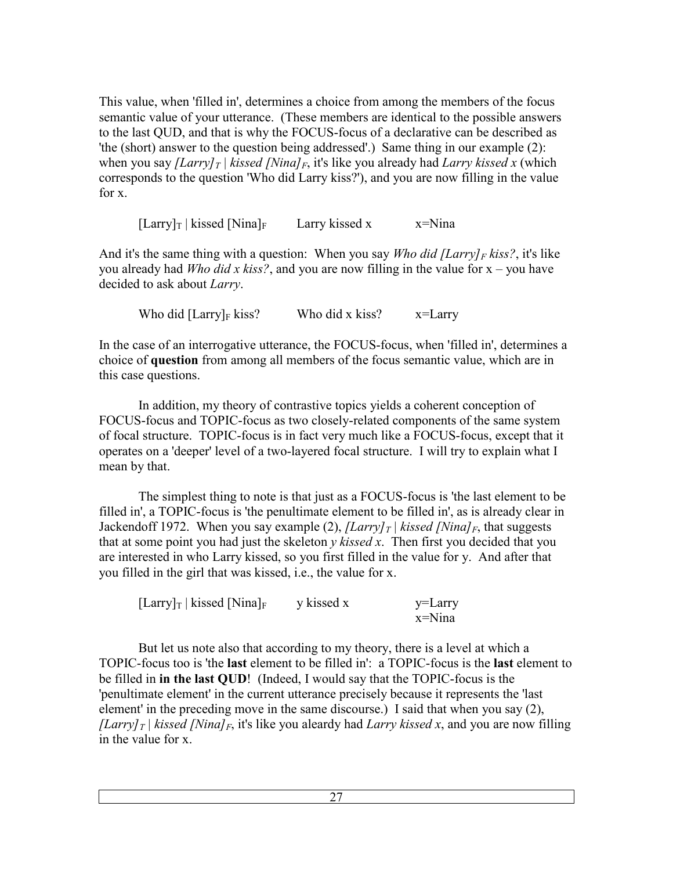This value, when 'filled in', determines a choice from among the members of the focus semantic value of your utterance. (These members are identical to the possible answers to the last QUD, and that is why the FOCUS-focus of a declarative can be described as 'the (short) answer to the question being addressed'.) Same thing in our example (2): when you say *[Larry]*<sup>*T*</sup> | *kissed [Nina]*<sup>*F*</sup>, it's like you already had *Larry kissed x* (which corresponds to the question 'Who did Larry kiss?'), and you are now filling in the value for x.

 $[ Larry]_T | kissed [Nina]_F$  Larry kissed x  $x = Nina$ 

And it's the same thing with a question: When you say *Who did [Larry]F kiss?*, it's like you already had *Who did x kiss?*, and you are now filling in the value for x – you have decided to ask about *Larry*.

Who did  $[ Larry]_F$  kiss? Who did x kiss?  $x=Larrow$ 

In the case of an interrogative utterance, the FOCUS-focus, when 'filled in', determines a choice of **question** from among all members of the focus semantic value, which are in this case questions.

 In addition, my theory of contrastive topics yields a coherent conception of FOCUS-focus and TOPIC-focus as two closely-related components of the same system of focal structure. TOPIC-focus is in fact very much like a FOCUS-focus, except that it operates on a 'deeper' level of a two-layered focal structure. I will try to explain what I mean by that.

 The simplest thing to note is that just as a FOCUS-focus is 'the last element to be filled in', a TOPIC-focus is 'the penultimate element to be filled in', as is already clear in Jackendoff 1972. When you say example (2),  $|Larry|_T|$  kissed  $|Ninal_F|$ , that suggests that at some point you had just the skeleton *y kissed x*. Then first you decided that you are interested in who Larry kissed, so you first filled in the value for y. And after that you filled in the girl that was kissed, i.e., the value for x.

| $\left[\text{Larry}\right]_T$   kissed $\left[\text{Nina}\right]_F$ | y kissed x | y=Larry   |
|---------------------------------------------------------------------|------------|-----------|
|                                                                     |            | $x=N$ ina |

 But let us note also that according to my theory, there is a level at which a TOPIC-focus too is 'the **last** element to be filled in': a TOPIC-focus is the **last** element to be filled in **in the last QUD**! (Indeed, I would say that the TOPIC-focus is the 'penultimate element' in the current utterance precisely because it represents the 'last element' in the preceding move in the same discourse.) I said that when you say (2), *[Larry]*<sup>*T*</sup> | *kissed [Nina]*<sup>*F*</sup>, it's like you aleardy had *Larry kissed x*, and you are now filling in the value for x.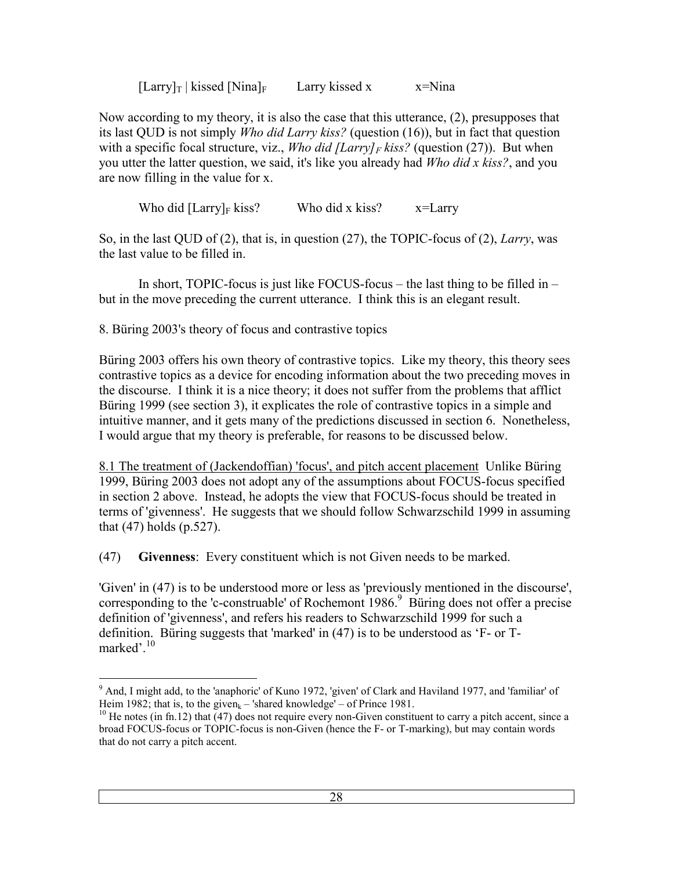$[Larrow]_T$  | kissed [Nina]<sub>F</sub> Larry kissed x x=Nina

Now according to my theory, it is also the case that this utterance, (2), presupposes that its last QUD is not simply *Who did Larry kiss?* (question (16)), but in fact that question with a specific focal structure, viz., *Who did [Larry]F kiss?* (question (27)). But when you utter the latter question, we said, it's like you already had *Who did x kiss?*, and you are now filling in the value for x.

Who did  $[ Larry]_F$  kiss? Who did x kiss?  $x=Larry$ 

So, in the last QUD of (2), that is, in question (27), the TOPIC-focus of (2), *Larry*, was the last value to be filled in.

 In short, TOPIC-focus is just like FOCUS-focus – the last thing to be filled in – but in the move preceding the current utterance. I think this is an elegant result.

8. Büring 2003's theory of focus and contrastive topics

Büring 2003 offers his own theory of contrastive topics. Like my theory, this theory sees contrastive topics as a device for encoding information about the two preceding moves in the discourse. I think it is a nice theory; it does not suffer from the problems that afflict Büring 1999 (see section 3), it explicates the role of contrastive topics in a simple and intuitive manner, and it gets many of the predictions discussed in section 6. Nonetheless, I would argue that my theory is preferable, for reasons to be discussed below.

8.1 The treatment of (Jackendoffian) 'focus', and pitch accent placement Unlike Büring 1999, Büring 2003 does not adopt any of the assumptions about FOCUS-focus specified in section 2 above. Instead, he adopts the view that FOCUS-focus should be treated in terms of 'givenness'. He suggests that we should follow Schwarzschild 1999 in assuming that (47) holds (p.527).

(47) **Givenness**: Every constituent which is not Given needs to be marked.

'Given' in (47) is to be understood more or less as 'previously mentioned in the discourse', corresponding to the 'c-construable' of Rochemont  $1986$ .<sup>9</sup> Büring does not offer a precise definition of 'givenness', and refers his readers to Schwarzschild 1999 for such a definition. Büring suggests that 'marked' in (47) is to be understood as 'F- or Tmarked'.<sup>10</sup>

<sup>&</sup>lt;sup>9</sup> And, I might add, to the 'anaphoric' of Kuno 1972, 'given' of Clark and Haviland 1977, and 'familiar' of Heim 1982; that is, to the given<sub>k</sub> – 'shared knowledge' – of Prince 1981.

<sup>&</sup>lt;sup>10</sup> He notes (in fn.12) that  $\left(47\right)$  does not require every non-Given constituent to carry a pitch accent, since a broad FOCUS-focus or TOPIC-focus is non-Given (hence the F- or T-marking), but may contain words that do not carry a pitch accent.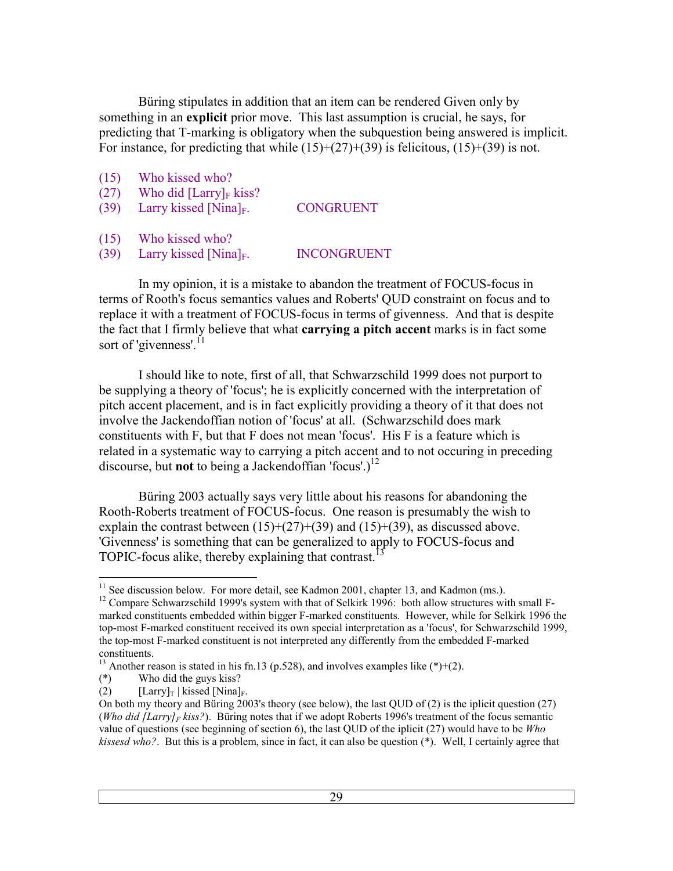Büring stipulates in addition that an item can be rendered Given only by something in an **explicit** prior move. This last assumption is crucial, he says, for predicting that T-marking is obligatory when the subquestion being answered is implicit. For instance, for predicting that while  $(15)+(27)+(39)$  is felicitous,  $(15)+(39)$  is not.

- (15) Who kissed who?
- (27) Who did  $[ Larry]_F$  kiss?
- (39) Larry kissed  $[Nina]_F$ . CONGRUENT
- (15) Who kissed who?
- (39) Larry kissed  $[Nina]_F$ . INCONGRUENT

 In my opinion, it is a mistake to abandon the treatment of FOCUS-focus in terms of Rooth's focus semantics values and Roberts' QUD constraint on focus and to replace it with a treatment of FOCUS-focus in terms of givenness. And that is despite the fact that I firmly believe that what **carrying a pitch accent** marks is in fact some sort of 'givenness'.<sup>11</sup>

 I should like to note, first of all, that Schwarzschild 1999 does not purport to be supplying a theory of 'focus'; he is explicitly concerned with the interpretation of pitch accent placement, and is in fact explicitly providing a theory of it that does not involve the Jackendoffian notion of 'focus' at all. (Schwarzschild does mark constituents with F, but that F does not mean 'focus'. His F is a feature which is related in a systematic way to carrying a pitch accent and to not occuring in preceding discourse, but **not** to being a Jackendoffian 'focus'.)<sup>12</sup>

 Büring 2003 actually says very little about his reasons for abandoning the Rooth-Roberts treatment of FOCUS-focus. One reason is presumably the wish to explain the contrast between  $(15)+(27)+(39)$  and  $(15)+(39)$ , as discussed above. 'Givenness' is something that can be generalized to apply to FOCUS-focus and TOPIC-focus alike, thereby explaining that contrast.<sup>1</sup>

 $\overline{a}$  $11$  See discussion below. For more detail, see Kadmon 2001, chapter 13, and Kadmon (ms.).

<sup>&</sup>lt;sup>12</sup> Compare Schwarzschild 1999's system with that of Selkirk 1996: both allow structures with small Fmarked constituents embedded within bigger F-marked constituents. However, while for Selkirk 1996 the top-most F-marked constituent received its own special interpretation as a 'focus', for Schwarzschild 1999, the top-most F-marked constituent is not interpreted any differently from the embedded F-marked constituents.

<sup>&</sup>lt;sup>13</sup> Another reason is stated in his fn.13 (p.528), and involves examples like  $(*)+(2)$ .

<sup>(\*)</sup> Who did the guys kiss?

<sup>(2)</sup>  $[Larry]_T | kissed [Nina]_F.$ 

On both my theory and Büring 2003's theory (see below), the last QUD of (2) is the iplicit question (27) (*Who did [Larry]<sub>F</sub>* kiss?). Büring notes that if we adopt Roberts 1996's treatment of the focus semantic value of questions (see beginning of section 6), the last QUD of the iplicit (27) would have to be *Who kissesd who?*. But this is a problem, since in fact, it can also be question (\*). Well, I certainly agree that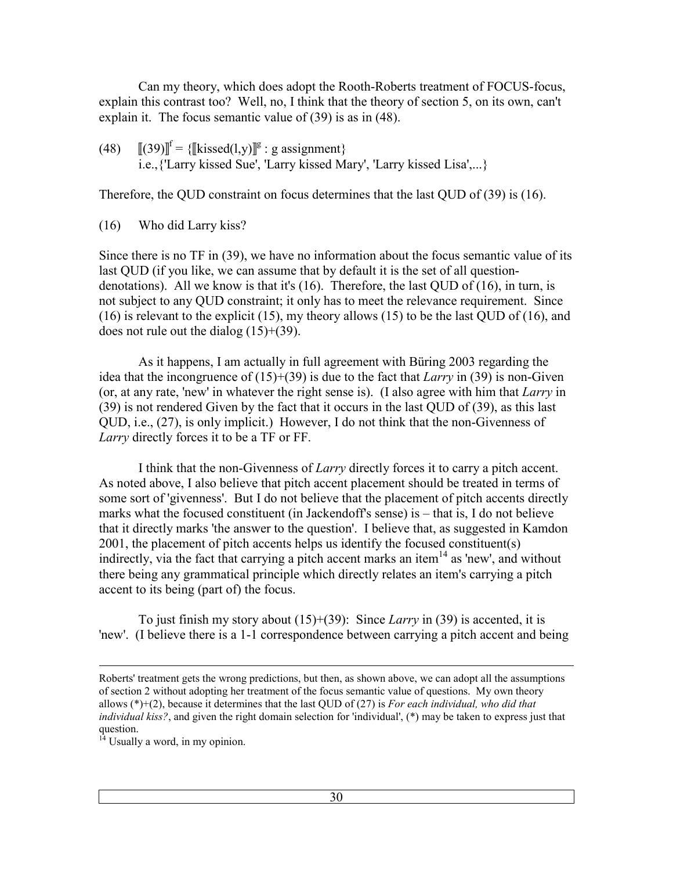Can my theory, which does adopt the Rooth-Roberts treatment of FOCUS-focus, explain this contrast too? Well, no, I think that the theory of section 5, on its own, can't explain it. The focus semantic value of (39) is as in (48).

(48)  $[[(39)]^f = \{[[kissed(1,y)]^g : g \text{ assignment}\}\$ i.e.,{'Larry kissed Sue', 'Larry kissed Mary', 'Larry kissed Lisa',...}

Therefore, the QUD constraint on focus determines that the last QUD of (39) is (16).

(16) Who did Larry kiss?

Since there is no TF in (39), we have no information about the focus semantic value of its last QUD (if you like, we can assume that by default it is the set of all questiondenotations). All we know is that it's  $(16)$ . Therefore, the last QUD of  $(16)$ , in turn, is not subject to any QUD constraint; it only has to meet the relevance requirement. Since (16) is relevant to the explicit (15), my theory allows (15) to be the last QUD of (16), and does not rule out the dialog  $(15)+(39)$ .

 As it happens, I am actually in full agreement with Büring 2003 regarding the idea that the incongruence of (15)+(39) is due to the fact that *Larry* in (39) is non-Given (or, at any rate, 'new' in whatever the right sense is). (I also agree with him that *Larry* in (39) is not rendered Given by the fact that it occurs in the last QUD of (39), as this last QUD, i.e., (27), is only implicit.) However, I do not think that the non-Givenness of *Larry* directly forces it to be a TF or FF.

 I think that the non-Givenness of *Larry* directly forces it to carry a pitch accent. As noted above, I also believe that pitch accent placement should be treated in terms of some sort of 'givenness'. But I do not believe that the placement of pitch accents directly marks what the focused constituent (in Jackendoff's sense) is – that is, I do not believe that it directly marks 'the answer to the question'. I believe that, as suggested in Kamdon 2001, the placement of pitch accents helps us identify the focused constituent(s) indirectly, via the fact that carrying a pitch accent marks an item<sup>14</sup> as 'new', and without there being any grammatical principle which directly relates an item's carrying a pitch accent to its being (part of) the focus.

 To just finish my story about (15)+(39): Since *Larry* in (39) is accented, it is 'new'. (I believe there is a 1-1 correspondence between carrying a pitch accent and being

 $\overline{a}$ 

Roberts' treatment gets the wrong predictions, but then, as shown above, we can adopt all the assumptions of section 2 without adopting her treatment of the focus semantic value of questions. My own theory allows (\*)+(2), because it determines that the last QUD of (27) is *For each individual, who did that individual kiss?*, and given the right domain selection for 'individual', (\*) may be taken to express just that question.

 $1<sup>14</sup>$  Usually a word, in my opinion.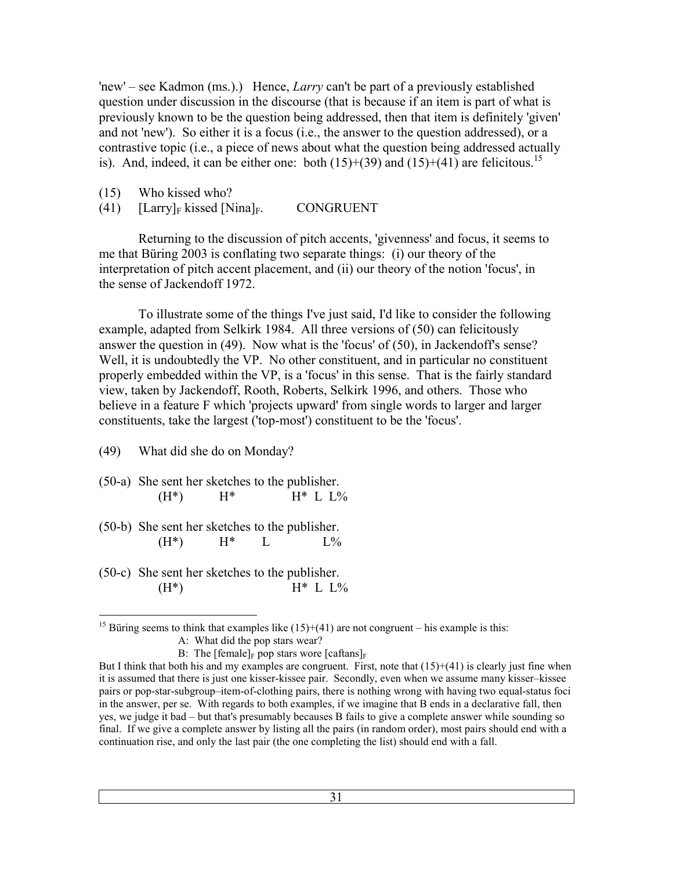'new' – see Kadmon (ms.).) Hence, *Larry* can't be part of a previously established question under discussion in the discourse (that is because if an item is part of what is previously known to be the question being addressed, then that item is definitely 'given' and not 'new'). So either it is a focus (i.e., the answer to the question addressed), or a contrastive topic (i.e., a piece of news about what the question being addressed actually is). And, indeed, it can be either one: both  $(15)+(39)$  and  $(15)+(41)$  are felicitous.<sup>15</sup>

(15) Who kissed who?

(41)  $\left[\text{Larry} \right]_F$  kissed  $\left[\text{Nina} \right]_F$ . CONGRUENT

 Returning to the discussion of pitch accents, 'givenness' and focus, it seems to me that Büring 2003 is conflating two separate things: (i) our theory of the interpretation of pitch accent placement, and (ii) our theory of the notion 'focus', in the sense of Jackendoff 1972.

 To illustrate some of the things I've just said, I'd like to consider the following example, adapted from Selkirk 1984. All three versions of (50) can felicitously answer the question in (49). Now what is the 'focus' of (50), in Jackendoff's sense? Well, it is undoubtedly the VP. No other constituent, and in particular no constituent properly embedded within the VP, is a 'focus' in this sense. That is the fairly standard view, taken by Jackendoff, Rooth, Roberts, Selkirk 1996, and others. Those who believe in a feature F which 'projects upward' from single words to larger and larger constituents, take the largest ('top-most') constituent to be the 'focus'.

(49) What did she do on Monday?

(50-a) She sent her sketches to the publisher.  $(H^*)$   $H^*$   $H^*$  L  $L\%$ 

(50-b) She sent her sketches to the publisher.  $(H^*)$   $H^*$  L  $L\%$ 

(50-c) She sent her sketches to the publisher.  $(H^*)$   $H^*$  L  $L\%$ 

 $\overline{a}$ <sup>15</sup> Büring seems to think that examples like  $(15)+(41)$  are not congruent – his example is this: A: What did the pop stars wear?

B: The  $[female]_F$  pop stars wore  $[caftans]_F$ 

But I think that both his and my examples are congruent. First, note that  $(15)+(41)$  is clearly just fine when it is assumed that there is just one kisser-kissee pair. Secondly, even when we assume many kisser–kissee pairs or pop-star-subgroup–item-of-clothing pairs, there is nothing wrong with having two equal-status foci in the answer, per se. With regards to both examples, if we imagine that B ends in a declarative fall, then yes, we judge it bad – but that's presumably becauses B fails to give a complete answer while sounding so final. If we give a complete answer by listing all the pairs (in random order), most pairs should end with a continuation rise, and only the last pair (the one completing the list) should end with a fall.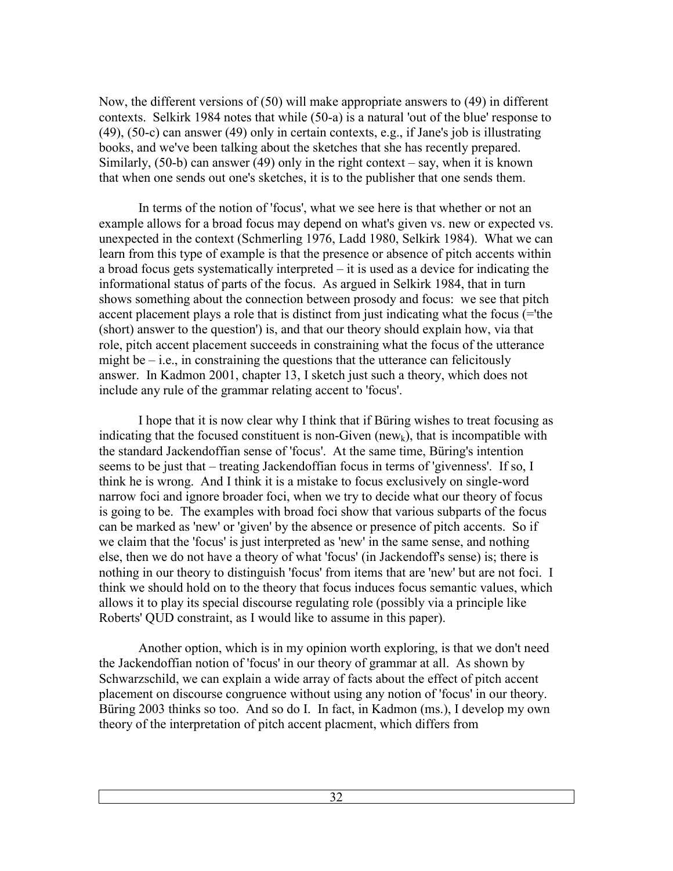Now, the different versions of (50) will make appropriate answers to (49) in different contexts. Selkirk 1984 notes that while (50-a) is a natural 'out of the blue' response to (49), (50-c) can answer (49) only in certain contexts, e.g., if Jane's job is illustrating books, and we've been talking about the sketches that she has recently prepared. Similarly,  $(50-b)$  can answer  $(49)$  only in the right context – say, when it is known that when one sends out one's sketches, it is to the publisher that one sends them.

 In terms of the notion of 'focus', what we see here is that whether or not an example allows for a broad focus may depend on what's given vs. new or expected vs. unexpected in the context (Schmerling 1976, Ladd 1980, Selkirk 1984). What we can learn from this type of example is that the presence or absence of pitch accents within a broad focus gets systematically interpreted – it is used as a device for indicating the informational status of parts of the focus. As argued in Selkirk 1984, that in turn shows something about the connection between prosody and focus: we see that pitch accent placement plays a role that is distinct from just indicating what the focus (='the (short) answer to the question') is, and that our theory should explain how, via that role, pitch accent placement succeeds in constraining what the focus of the utterance might be  $-$  i.e., in constraining the questions that the utterance can felicitously answer. In Kadmon 2001, chapter 13, I sketch just such a theory, which does not include any rule of the grammar relating accent to 'focus'.

 I hope that it is now clear why I think that if Büring wishes to treat focusing as indicating that the focused constituent is non-Given (new<sub>k</sub>), that is incompatible with the standard Jackendoffian sense of 'focus'. At the same time, Büring's intention seems to be just that – treating Jackendoffian focus in terms of 'givenness'. If so, I think he is wrong. And I think it is a mistake to focus exclusively on single-word narrow foci and ignore broader foci, when we try to decide what our theory of focus is going to be. The examples with broad foci show that various subparts of the focus can be marked as 'new' or 'given' by the absence or presence of pitch accents. So if we claim that the 'focus' is just interpreted as 'new' in the same sense, and nothing else, then we do not have a theory of what 'focus' (in Jackendoff's sense) is; there is nothing in our theory to distinguish 'focus' from items that are 'new' but are not foci. I think we should hold on to the theory that focus induces focus semantic values, which allows it to play its special discourse regulating role (possibly via a principle like Roberts' QUD constraint, as I would like to assume in this paper).

 Another option, which is in my opinion worth exploring, is that we don't need the Jackendoffian notion of 'focus' in our theory of grammar at all. As shown by Schwarzschild, we can explain a wide array of facts about the effect of pitch accent placement on discourse congruence without using any notion of 'focus' in our theory. Büring 2003 thinks so too. And so do I. In fact, in Kadmon (ms.), I develop my own theory of the interpretation of pitch accent placment, which differs from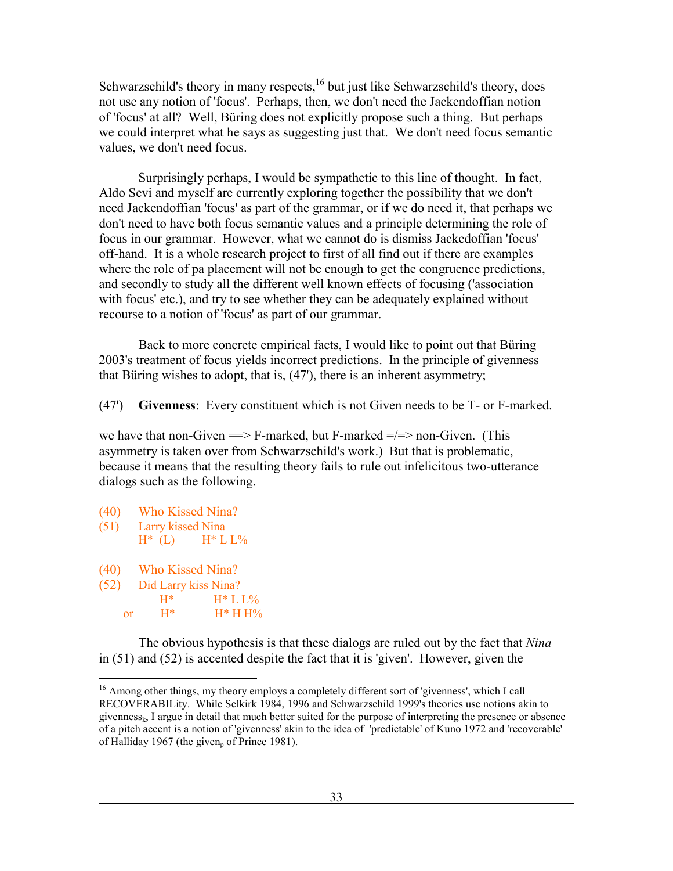Schwarzschild's theory in many respects,<sup>16</sup> but just like Schwarzschild's theory, does not use any notion of 'focus'. Perhaps, then, we don't need the Jackendoffian notion of 'focus' at all? Well, Büring does not explicitly propose such a thing. But perhaps we could interpret what he says as suggesting just that. We don't need focus semantic values, we don't need focus.

 Surprisingly perhaps, I would be sympathetic to this line of thought. In fact, Aldo Sevi and myself are currently exploring together the possibility that we don't need Jackendoffian 'focus' as part of the grammar, or if we do need it, that perhaps we don't need to have both focus semantic values and a principle determining the role of focus in our grammar. However, what we cannot do is dismiss Jackedoffian 'focus' off-hand. It is a whole research project to first of all find out if there are examples where the role of pa placement will not be enough to get the congruence predictions, and secondly to study all the different well known effects of focusing ('association with focus' etc.), and try to see whether they can be adequately explained without recourse to a notion of 'focus' as part of our grammar.

 Back to more concrete empirical facts, I would like to point out that Büring 2003's treatment of focus yields incorrect predictions. In the principle of givenness that Büring wishes to adopt, that is, (47'), there is an inherent asymmetry;

(47') **Givenness**: Every constituent which is not Given needs to be T- or F-marked.

we have that non-Given  $\equiv$  F-marked, but F-marked  $\equiv$   $\equiv$   $\equiv$  non-Given. (This asymmetry is taken over from Schwarzschild's work.) But that is problematic, because it means that the resulting theory fails to rule out infelicitous two-utterance dialogs such as the following.

- (40) Who Kissed Nina?
- (51) Larry kissed Nina
- $H^*$  (L)  $H^*$  L L%
- (40) Who Kissed Nina?
- (52) Did Larry kiss Nina?<br> $H^*$  H<sup>\*</sup> L
	- H\* H\* L L% or  $H^*$   $H^*HH\%$

 The obvious hypothesis is that these dialogs are ruled out by the fact that *Nina* in (51) and (52) is accented despite the fact that it is 'given'. However, given the

 $\overline{a}$ <sup>16</sup> Among other things, my theory employs a completely different sort of 'givenness', which I call RECOVERABILity. While Selkirk 1984, 1996 and Schwarzschild 1999's theories use notions akin to givennessk, I argue in detail that much better suited for the purpose of interpreting the presence or absence of a pitch accent is a notion of 'givenness' akin to the idea of 'predictable' of Kuno 1972 and 'recoverable' of Halliday 1967 (the given<sub>p</sub> of Prince 1981).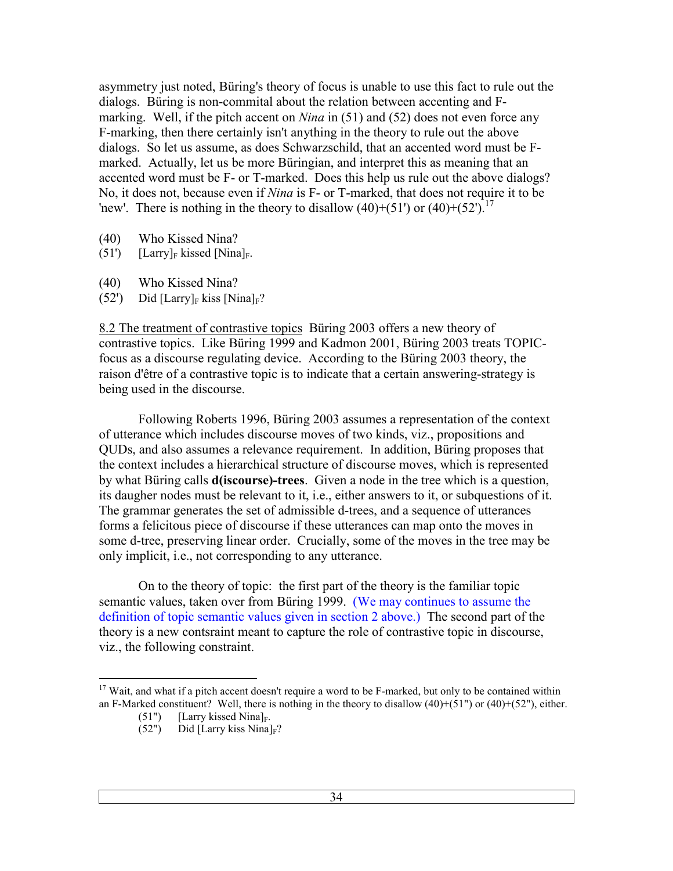asymmetry just noted, Büring's theory of focus is unable to use this fact to rule out the dialogs. Büring is non-commital about the relation between accenting and Fmarking. Well, if the pitch accent on *Nina* in (51) and (52) does not even force any F-marking, then there certainly isn't anything in the theory to rule out the above dialogs. So let us assume, as does Schwarzschild, that an accented word must be Fmarked. Actually, let us be more Büringian, and interpret this as meaning that an accented word must be F- or T-marked. Does this help us rule out the above dialogs? No, it does not, because even if *Nina* is F- or T-marked, that does not require it to be 'new'. There is nothing in the theory to disallow  $(40)+(51)$  or  $(40)+(52')$ .<sup>17</sup>

- (40) Who Kissed Nina?
- (51')  $[ Larry]_F$  kissed  $[Nina]_F$ .
- (40) Who Kissed Nina?
- $(52')$  Did [Larry]<sub>F</sub> kiss [Nina]<sub>F</sub>?

8.2 The treatment of contrastive topics Büring 2003 offers a new theory of contrastive topics. Like Büring 1999 and Kadmon 2001, Büring 2003 treats TOPICfocus as a discourse regulating device. According to the Büring 2003 theory, the raison d'être of a contrastive topic is to indicate that a certain answering-strategy is being used in the discourse.

 Following Roberts 1996, Büring 2003 assumes a representation of the context of utterance which includes discourse moves of two kinds, viz., propositions and QUDs, and also assumes a relevance requirement. In addition, Büring proposes that the context includes a hierarchical structure of discourse moves, which is represented by what Büring calls **d(iscourse)-trees**. Given a node in the tree which is a question, its daugher nodes must be relevant to it, i.e., either answers to it, or subquestions of it. The grammar generates the set of admissible d-trees, and a sequence of utterances forms a felicitous piece of discourse if these utterances can map onto the moves in some d-tree, preserving linear order. Crucially, some of the moves in the tree may be only implicit, i.e., not corresponding to any utterance.

 On to the theory of topic: the first part of the theory is the familiar topic semantic values, taken over from Büring 1999. (We may continues to assume the definition of topic semantic values given in section 2 above.) The second part of the theory is a new contsraint meant to capture the role of contrastive topic in discourse, viz., the following constraint.

 $\overline{a}$ <sup>17</sup> Wait, and what if a pitch accent doesn't require a word to be F-marked, but only to be contained within an F-Marked constituent? Well, there is nothing in the theory to disallow  $(40)+(51")$  or  $(40)+(52")$ , either.

<sup>(51&</sup>quot;) [Larry kissed Nina]<sub>F</sub>.<br>(52") Did [Larry kiss Nina]

Did [Larry kiss Nina] $_F$ ?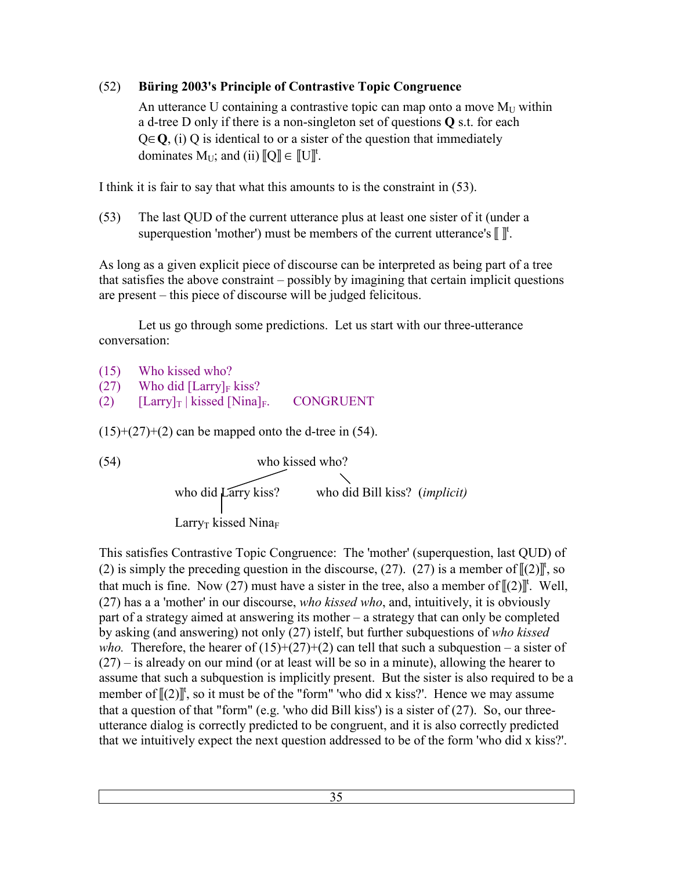# (52) **Büring 2003's Principle of Contrastive Topic Congruence**

An utterance U containing a contrastive topic can map onto a move  $M_{U}$  within a d-tree D only if there is a non-singleton set of questions **Q** s.t. for each Q∈**Q**, (i) Q is identical to or a sister of the question that immediately dominates  $M_U$ ; and (ii)  $\llbracket Q \rrbracket \in \llbracket U \rrbracket^t$ .

I think it is fair to say that what this amounts to is the constraint in (53).

(53) The last QUD of the current utterance plus at least one sister of it (under a superquestion 'mother') must be members of the current utterance's  $\llbracket \rrbracket^t$ .

As long as a given explicit piece of discourse can be interpreted as being part of a tree that satisfies the above constraint – possibly by imagining that certain implicit questions are present – this piece of discourse will be judged felicitous.

 Let us go through some predictions. Let us start with our three-utterance conversation:

(15) Who kissed who?  $(27)$  Who did [Larry]<sub>F</sub> kiss? (2)  $[Larry]_T | kissed [Nina]_F$ . CONGRUENT

 $(15)+(27)+(2)$  can be mapped onto the d-tree in (54).

(54)

\nwho kissed who?

\nwho did 
$$
\overline{\text{Larry kiss}}
$$
 who did Bill kiss? (*implicit*)

\nLarry<sub>T</sub> kissed Nina<sub>F</sub>

This satisfies Contrastive Topic Congruence: The 'mother' (superquestion, last QUD) of (2) is simply the preceding question in the discourse, (27). (27) is a member of  $[[2]]^t$ , so that much is fine. Now (27) must have a sister in the tree, also a member of  $[(2)]^t$ . Well, (27) has a a 'mother' in our discourse, *who kissed who*, and, intuitively, it is obviously part of a strategy aimed at answering its mother – a strategy that can only be completed by asking (and answering) not only (27) istelf, but further subquestions of *who kissed who.* Therefore, the hearer of  $(15)+(27)+(2)$  can tell that such a subquestion – a sister of (27) – is already on our mind (or at least will be so in a minute), allowing the hearer to assume that such a subquestion is implicitly present. But the sister is also required to be a member of  $[[2]]^t$ , so it must be of the "form" 'who did x kiss?'. Hence we may assume that a question of that "form" (e.g. 'who did Bill kiss') is a sister of  $(27)$ . So, our threeutterance dialog is correctly predicted to be congruent, and it is also correctly predicted that we intuitively expect the next question addressed to be of the form 'who did x kiss?'.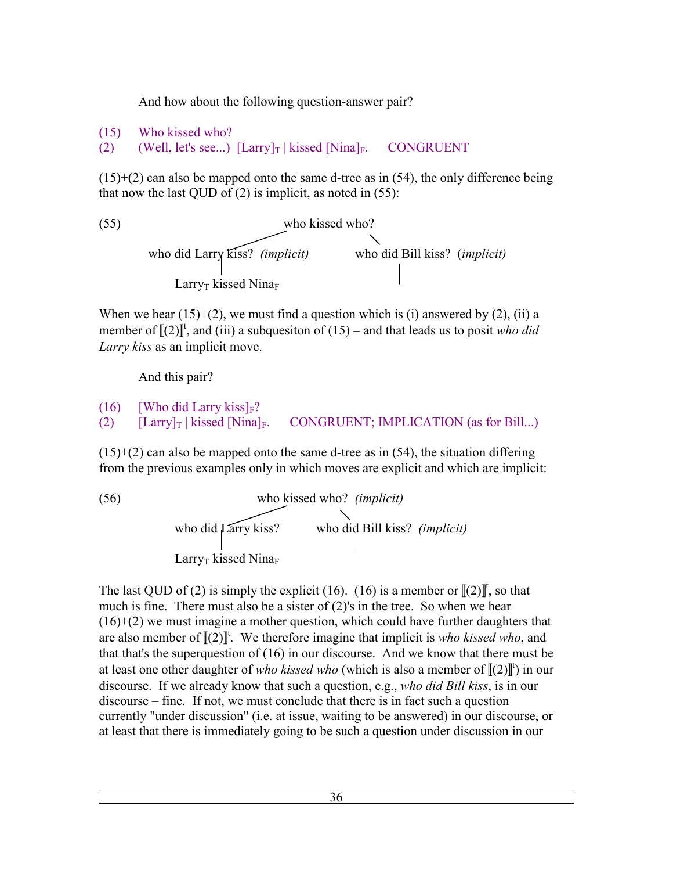And how about the following question-answer pair?

```
(15) Who kissed who?
```
(2) (Well, let's see...)  $\left[\text{Larry} \right]_T$  | kissed  $\left[\text{Nina} \right]_F$ . CONGRUENT

 $(15)+(2)$  can also be mapped onto the same d-tree as in (54), the only difference being that now the last QUD of  $(2)$  is implicit, as noted in  $(55)$ :

(55) who kissed who? who did Larry kiss? *(implicit)* who did Bill kiss? (*implicit)*  LarryT kissed Nina<sup>F</sup>

When we hear  $(15)+(2)$ , we must find a question which is (i) answered by  $(2)$ , (ii) a member of  $\llbracket (2) \rrbracket^t$ , and (iii) a subquesiton of (15) – and that leads us to posit *who did Larry kiss* as an implicit move.

And this pair?

```
(16) [Who did Larry kiss]_F?
(2) \left[\text{Larry} \right]_T | kissed \left[\text{Nina} \right]_F. CONGRUENT; IMPLICATION (as for Bill...)
```
 $(15)+(2)$  can also be mapped onto the same d-tree as in (54), the situation differing from the previous examples only in which moves are explicit and which are implicit:

(56)

\nwho kissed who? (*implicit*)

\nwho did 
$$
\left\{\text{rarry kiss?}\right\}
$$
 who did Bill kiss? (*implicit*)

\n Larry<sub>T</sub> kissed Nina<sub>F</sub>

The last QUD of (2) is simply the explicit (16). (16) is a member or  $[(2)]^{\dagger}$ , so that much is fine. There must also be a sister of (2)'s in the tree. So when we hear (16)+(2) we must imagine a mother question, which could have further daughters that are also member of  $\llbracket (2) \rrbracket^t$ . We therefore imagine that implicit is *who kissed who*, and that that's the superquestion of (16) in our discourse. And we know that there must be at least one other daughter of *who kissed who* (which is also a member of  $[(2)]^{\text{t}}$ ) in our discourse. If we already know that such a question, e.g., *who did Bill kiss*, is in our discourse – fine. If not, we must conclude that there is in fact such a question currently "under discussion" (i.e. at issue, waiting to be answered) in our discourse, or at least that there is immediately going to be such a question under discussion in our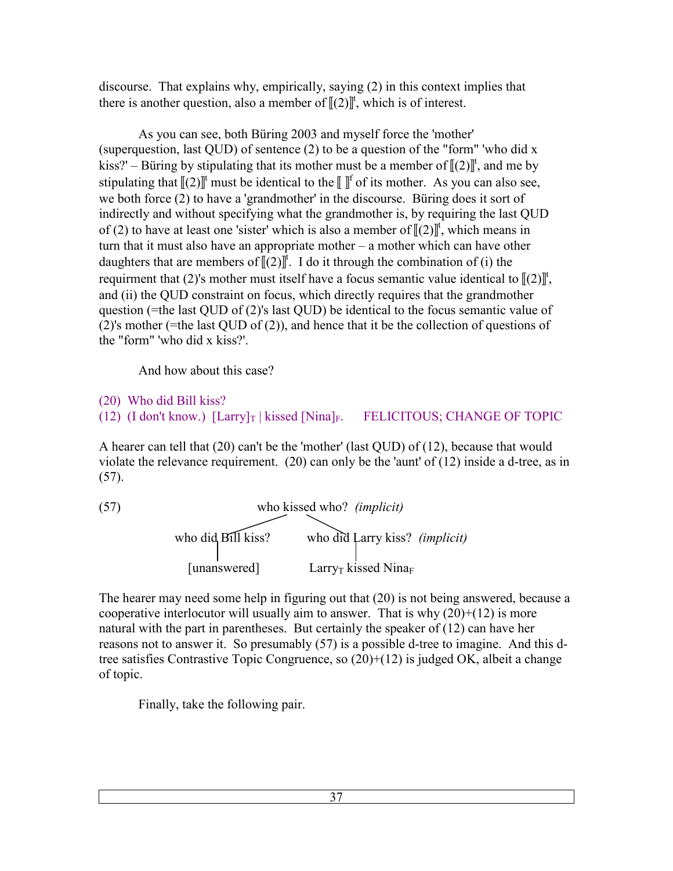discourse. That explains why, empirically, saying (2) in this context implies that there is another question, also a member of  $[[(2)]^{\dagger}$ , which is of interest.

 As you can see, both Büring 2003 and myself force the 'mother' (superquestion, last QUD) of sentence (2) to be a question of the "form" 'who did x kiss?' – Büring by stipulating that its mother must be a member of  $[(2)]^t$ , and me by stipulating that  $\llbracket (2) \rrbracket^t$  must be identical to the  $\llbracket \rrbracket^t$  of its mother. As you can also see, we both force (2) to have a 'grandmother' in the discourse. Büring does it sort of indirectly and without specifying what the grandmother is, by requiring the last QUD of (2) to have at least one 'sister' which is also a member of  $[(2)]^t$ , which means in turn that it must also have an appropriate mother – a mother which can have other daughters that are members of  $[(2)]^{\dagger}$ . I do it through the combination of (i) the requirment that (2)'s mother must itself have a focus semantic value identical to  $[(2)]^{\text{t}}$ , and (ii) the QUD constraint on focus, which directly requires that the grandmother question (=the last QUD of (2)'s last QUD) be identical to the focus semantic value of (2)'s mother (=the last QUD of (2)), and hence that it be the collection of questions of the "form" 'who did x kiss?'.

And how about this case?

(20) Who did Bill kiss?

(12) (I don't know.)  $\left[\text{Larry} \right]_T$  | kissed  $\left[\text{Nina} \right]_F$ . FELICITOUS; CHANGE OF TOPIC

A hearer can tell that (20) can't be the 'mother' (last QUD) of (12), because that would violate the relevance requirement. (20) can only be the 'aunt' of (12) inside a d-tree, as in (57).

(57)

\nwho kissed who? (*implicit*)

\nwho did 
$$
Bill
$$
 kiss?

\nwho did  $Iarry$  kiss?

\n(*implicit*)

\n[unanswered]

\nLarry<sub>T</sub> kissed Nina<sub>F</sub>

The hearer may need some help in figuring out that (20) is not being answered, because a cooperative interlocutor will usually aim to answer. That is why  $(20)+(12)$  is more natural with the part in parentheses. But certainly the speaker of (12) can have her reasons not to answer it. So presumably (57) is a possible d-tree to imagine. And this dtree satisfies Contrastive Topic Congruence, so (20)+(12) is judged OK, albeit a change of topic.

Finally, take the following pair.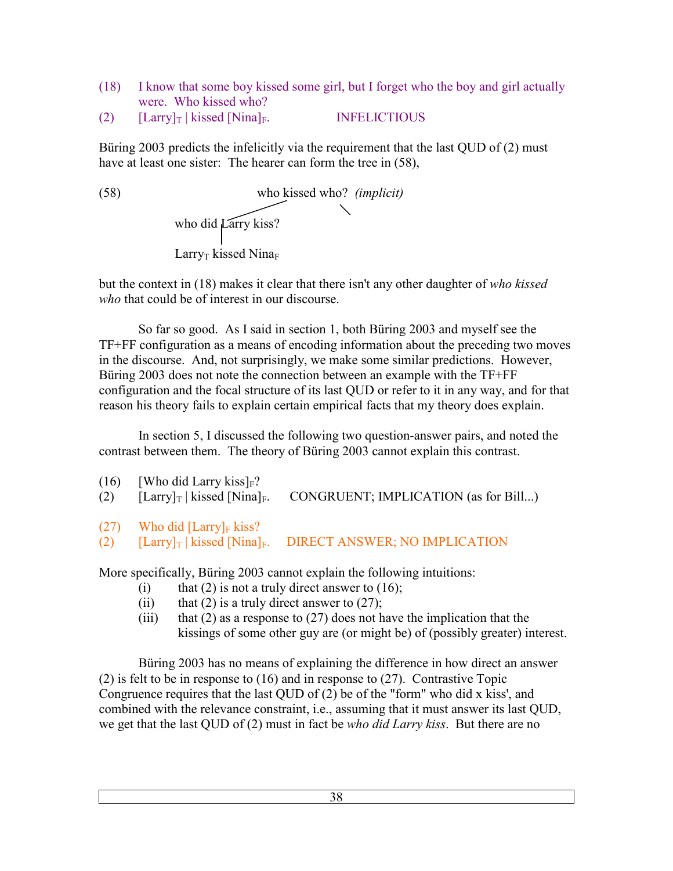- (18) I know that some boy kissed some girl, but I forget who the boy and girl actually were. Who kissed who?
- (2)  $[ Larry]_T | kissed [Nina]_F.$  INFELICTIOUS

Büring 2003 predicts the infelicitly via the requirement that the last QUD of (2) must have at least one sister: The hearer can form the tree in  $(58)$ ,

(58) who kissed who? *(implicit)*  who did Larry kiss? Larry<sub>T</sub> kissed Nina $_F$ 

but the context in (18) makes it clear that there isn't any other daughter of *who kissed who* that could be of interest in our discourse.

 So far so good. As I said in section 1, both Büring 2003 and myself see the TF+FF configuration as a means of encoding information about the preceding two moves in the discourse. And, not surprisingly, we make some similar predictions. However, Büring 2003 does not note the connection between an example with the TF+FF configuration and the focal structure of its last QUD or refer to it in any way, and for that reason his theory fails to explain certain empirical facts that my theory does explain.

 In section 5, I discussed the following two question-answer pairs, and noted the contrast between them. The theory of Büring 2003 cannot explain this contrast.

| (16)<br>(2) | [Who did Larry kiss] $_F$ ?<br>$[Larrow]_T$ kissed [Nina] <sub>F</sub> . | CONGRUENT; IMPLICATION (as for Bill)                                                                |
|-------------|--------------------------------------------------------------------------|-----------------------------------------------------------------------------------------------------|
|             | $(27)$ Who did [Larry] <sub>F</sub> kiss?                                |                                                                                                     |
| (2)         |                                                                          | $\left[\text{Larry}\right]_T$   kissed $\left[\text{Ninal}_F.\right]$ DIRECT ANSWER; NO IMPLICATION |

More specifically, Büring 2003 cannot explain the following intuitions:

- (i) that (2) is not a truly direct answer to  $(16)$ ;
- (ii) that (2) is a truly direct answer to  $(27)$ ;
- (iii) that (2) as a response to (27) does not have the implication that the kissings of some other guy are (or might be) of (possibly greater) interest.

 Büring 2003 has no means of explaining the difference in how direct an answer (2) is felt to be in response to (16) and in response to (27). Contrastive Topic Congruence requires that the last QUD of (2) be of the "form" who did x kiss', and combined with the relevance constraint, i.e., assuming that it must answer its last QUD, we get that the last QUD of (2) must in fact be *who did Larry kiss*. But there are no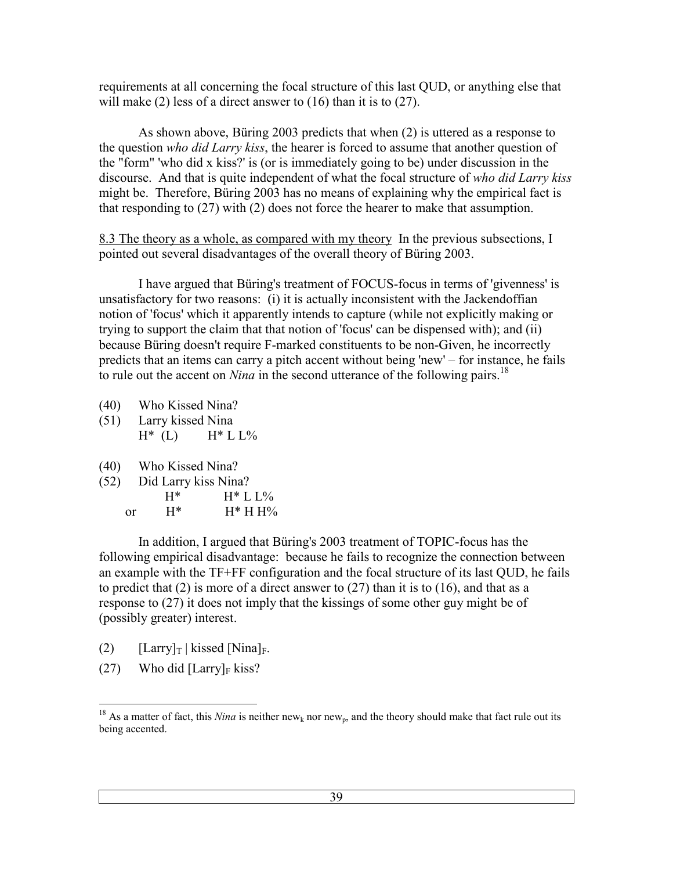requirements at all concerning the focal structure of this last QUD, or anything else that will make (2) less of a direct answer to (16) than it is to (27).

 As shown above, Büring 2003 predicts that when (2) is uttered as a response to the question *who did Larry kiss*, the hearer is forced to assume that another question of the "form" 'who did x kiss?' is (or is immediately going to be) under discussion in the discourse. And that is quite independent of what the focal structure of *who did Larry kiss* might be. Therefore, Büring 2003 has no means of explaining why the empirical fact is that responding to (27) with (2) does not force the hearer to make that assumption.

8.3 The theory as a whole, as compared with my theory In the previous subsections, I pointed out several disadvantages of the overall theory of Büring 2003.

 I have argued that Büring's treatment of FOCUS-focus in terms of 'givenness' is unsatisfactory for two reasons: (i) it is actually inconsistent with the Jackendoffian notion of 'focus' which it apparently intends to capture (while not explicitly making or trying to support the claim that that notion of 'focus' can be dispensed with); and (ii) because Büring doesn't require F-marked constituents to be non-Given, he incorrectly predicts that an items can carry a pitch accent without being 'new' – for instance, he fails to rule out the accent on *Nina* in the second utterance of the following pairs.<sup>18</sup>

- (40) Who Kissed Nina?
- (51) Larry kissed Nina<br> $H^*$  (L)  $H^*$  L  $H^*$  L L%
- (40) Who Kissed Nina?
- (52) Did Larry kiss Nina?

| $\sqrt{2}$ |    | $H^*$ | $H^* L L\%$ |
|------------|----|-------|-------------|
|            | or | $H^*$ | $H^* H H$ % |

 In addition, I argued that Büring's 2003 treatment of TOPIC-focus has the following empirical disadvantage: because he fails to recognize the connection between an example with the TF+FF configuration and the focal structure of its last QUD, he fails to predict that  $(2)$  is more of a direct answer to  $(27)$  than it is to  $(16)$ , and that as a response to (27) it does not imply that the kissings of some other guy might be of (possibly greater) interest.

- (2)  $[Larrow]_T | kissed [Nina]_F.$
- (27) Who did  $[ Larry]_F$  kiss?

 $\overline{a}$ <sup>18</sup> As a matter of fact, this *Nina* is neither new<sub>k</sub> nor new<sub>p</sub>, and the theory should make that fact rule out its being accented.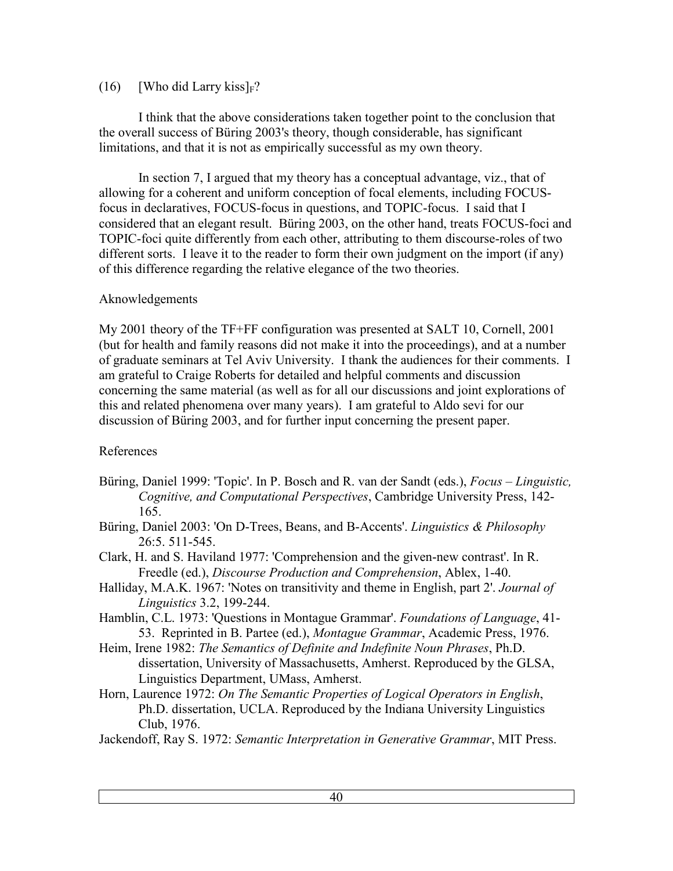### (16) [Who did Larry kiss] $F$ ?

 I think that the above considerations taken together point to the conclusion that the overall success of Büring 2003's theory, though considerable, has significant limitations, and that it is not as empirically successful as my own theory.

 In section 7, I argued that my theory has a conceptual advantage, viz., that of allowing for a coherent and uniform conception of focal elements, including FOCUSfocus in declaratives, FOCUS-focus in questions, and TOPIC-focus. I said that I considered that an elegant result. Büring 2003, on the other hand, treats FOCUS-foci and TOPIC-foci quite differently from each other, attributing to them discourse-roles of two different sorts. I leave it to the reader to form their own judgment on the import (if any) of this difference regarding the relative elegance of the two theories.

# Aknowledgements

My 2001 theory of the TF+FF configuration was presented at SALT 10, Cornell, 2001 (but for health and family reasons did not make it into the proceedings), and at a number of graduate seminars at Tel Aviv University. I thank the audiences for their comments. I am grateful to Craige Roberts for detailed and helpful comments and discussion concerning the same material (as well as for all our discussions and joint explorations of this and related phenomena over many years). I am grateful to Aldo sevi for our discussion of Büring 2003, and for further input concerning the present paper.

# References

- Büring, Daniel 1999: 'Topic'. In P. Bosch and R. van der Sandt (eds.), *Focus Linguistic, Cognitive, and Computational Perspectives*, Cambridge University Press, 142- 165.
- Büring, Daniel 2003: 'On D-Trees, Beans, and B-Accents'. *Linguistics & Philosophy* 26:5. 511-545.
- Clark, H. and S. Haviland 1977: 'Comprehension and the given-new contrast'. In R. Freedle (ed.), *Discourse Production and Comprehension*, Ablex, 1-40.
- Halliday, M.A.K. 1967: 'Notes on transitivity and theme in English, part 2'. *Journal of Linguistics* 3.2, 199-244.
- Hamblin, C.L. 1973: 'Questions in Montague Grammar'. *Foundations of Language*, 41- 53. Reprinted in B. Partee (ed.), *Montague Grammar*, Academic Press, 1976.
- Heim, Irene 1982: *The Semantics of Definite and Indefinite Noun Phrases*, Ph.D. dissertation, University of Massachusetts, Amherst. Reproduced by the GLSA, Linguistics Department, UMass, Amherst.
- Horn, Laurence 1972: *On The Semantic Properties of Logical Operators in English*, Ph.D. dissertation, UCLA. Reproduced by the Indiana University Linguistics Club, 1976.

Jackendoff, Ray S. 1972: *Semantic Interpretation in Generative Grammar*, MIT Press.